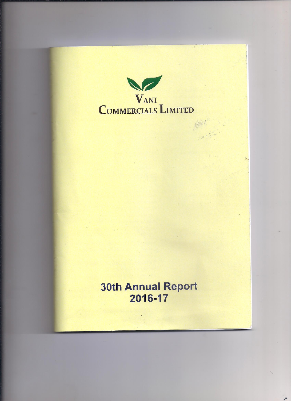

÷,

# **30th Annual Report** 2016-17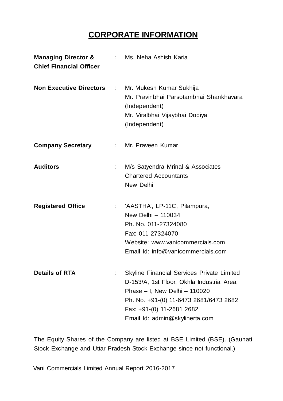# **CORPORATE INFORMATION**

| <b>Managing Director &amp;</b><br><b>Chief Financial Officer</b> |                             | : Ms. Neha Ashish Karia                                                                                                                                                                                                            |
|------------------------------------------------------------------|-----------------------------|------------------------------------------------------------------------------------------------------------------------------------------------------------------------------------------------------------------------------------|
| <b>Non Executive Directors</b>                                   | $\mathcal{L}_{\mathcal{A}}$ | Mr. Mukesh Kumar Sukhija<br>Mr. Pravinbhai Parsotambhai Shankhavara<br>(Independent)<br>Mr. Viralbhai Vijaybhai Dodiya<br>(Independent)                                                                                            |
| <b>Company Secretary</b>                                         | $\mathbb{R}^{\mathbb{Z}}$   | Mr. Praveen Kumar                                                                                                                                                                                                                  |
| <b>Auditors</b>                                                  |                             | M/s Satyendra Mrinal & Associates<br><b>Chartered Accountants</b><br>New Delhi                                                                                                                                                     |
| <b>Registered Office</b>                                         |                             | 'AASTHA', LP-11C, Pitampura,<br>New Delhi - 110034<br>Ph. No. 011-27324080<br>Fax: 011-27324070<br>Website: www.vanicommercials.com<br>Email Id: info@vanicommercials.com                                                          |
| <b>Details of RTA</b>                                            |                             | Skyline Financial Services Private Limited<br>D-153/A, 1st Floor, Okhla Industrial Area,<br>Phase - I, New Delhi - 110020<br>Ph. No. +91-(0) 11-6473 2681/6473 2682<br>Fax: +91-(0) 11-2681 2682<br>Email Id: admin@skylinerta.com |

The Equity Shares of the Company are listed at BSE Limited (BSE). (Gauhati Stock Exchange and Uttar Pradesh Stock Exchange since not functional.)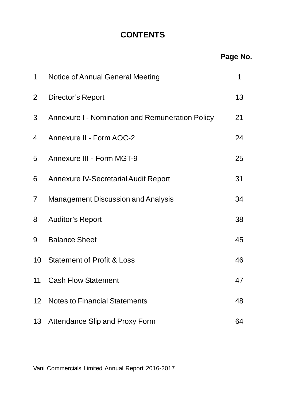# **CONTENTS**

| 1              | Notice of Annual General Meeting                | 1  |
|----------------|-------------------------------------------------|----|
| $\overline{2}$ | Director's Report                               | 13 |
| 3              | Annexure I - Nomination and Remuneration Policy | 21 |
| 4              | Annexure II - Form AOC-2                        | 24 |
| 5              | Annexure III - Form MGT-9                       | 25 |
| 6              | <b>Annexure IV-Secretarial Audit Report</b>     | 31 |
| $\overline{7}$ | Management Discussion and Analysis              | 34 |
| 8              | <b>Auditor's Report</b>                         | 38 |
| 9              | <b>Balance Sheet</b>                            | 45 |
| 10             | <b>Statement of Profit &amp; Loss</b>           | 46 |
| 11             | <b>Cash Flow Statement</b>                      | 47 |
| 12             | <b>Notes to Financial Statements</b>            | 48 |
|                | 13 Attendance Slip and Proxy Form               | 64 |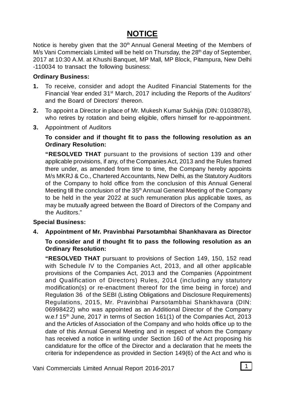# **NOTICE**

Notice is hereby given that the 30<sup>th</sup> Annual General Meeting of the Members of M/s Vani Commercials Limited will be held on Thursday, the 28<sup>th</sup> day of September, 2017 at 10:30 A.M. at Khushi Banquet, MP Mall, MP Block, Pitampura, New Delhi -110034 to transact the following business:

#### **Ordinary Business:**

- **1.** To receive, consider and adopt the Audited Financial Statements for the Financial Year ended 31<sup>st</sup> March, 2017 including the Reports of the Auditors' and the Board of Directors' thereon.
- **2.** To appoint a Director in place of Mr. Mukesh Kumar Sukhija (DIN: 01038078), who retires by rotation and being eligible, offers himself for re-appointment.
- **3.** Appointment of Auditors

#### **To consider and if thought fit to pass the following resolution as an Ordinary Resolution:**

**"RESOLVED THAT** pursuant to the provisions of section 139 and other applicable provisions, if any, of the Companies Act, 2013 and the Rules framed there under, as amended from time to time, the Company hereby appoints M/s MKRJ & Co., Chartered Accountants, New Delhi, as the Statutory Auditors of the Company to hold office from the conclusion of this Annual General Meeting till the conclusion of the 35<sup>th</sup> Annual General Meeting of the Company to be held in the year 2022 at such remuneration plus applicable taxes, as may be mutually agreed between the Board of Directors of the Company and the Auditors."

### **Special Business:**

# **4. Appointment of Mr. Pravinbhai Parsotambhai Shankhavara as Director To consider and if thought fit to pass the following resolution as an Ordinary Resolution:**

**"RESOLVED THAT** pursuant to provisions of Section 149, 150, 152 read with Schedule IV to the Companies Act, 2013, and all other applicable provisions of the Companies Act, 2013 and the Companies (Appointment and Qualification of Directors) Rules, 2014 (including any statutory modification(s) or re-enactment thereof for the time being in force) and Regulation 36 of the SEBI (Listing Obligations and Disclosure Requirements) Regulations, 2015, Mr. Pravinbhai Parsotambhai Shankhavara (DIN: 06998422) who was appointed as an Additional Director of the Company w.e.f 15<sup>th</sup> June, 2017 in terms of Section 161(1) of the Companies Act, 2013 and the Articles of Association of the Company and who holds office up to the date of this Annual General Meeting and in respect of whom the Company has received a notice in writing under Section 160 of the Act proposing his candidature for the office of the Director and a declaration that he meets the criteria for independence as provided in Section 149(6) of the Act and who is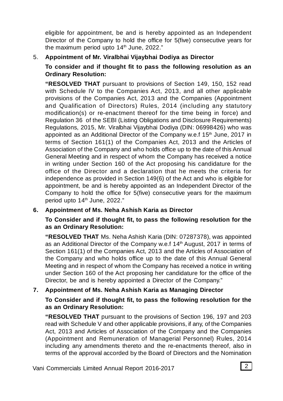eligible for appointment, be and is hereby appointed as an Independent Director of the Company to hold the office for 5(five) consecutive years for the maximum period upto 14<sup>th</sup> June, 2022."

# 5. **Appointment of Mr. Viralbhai Vijaybhai Dodiya as Director**

**To consider and if thought fit to pass the following resolution as an Ordinary Resolution:**

**"RESOLVED THAT** pursuant to provisions of Section 149, 150, 152 read with Schedule IV to the Companies Act, 2013, and all other applicable provisions of the Companies Act, 2013 and the Companies (Appointment and Qualification of Directors) Rules, 2014 (including any statutory modification(s) or re-enactment thereof for the time being in force) and Regulation 36 of the SEBI (Listing Obligations and Disclosure Requirements) Regulations, 2015, Mr. Viralbhai Vijaybhai Dodiya (DIN: 06998426) who was appointed as an Additional Director of the Company w.e.f 15<sup>th</sup> June, 2017 in terms of Section 161(1) of the Companies Act, 2013 and the Articles of Association of the Company and who holds office up to the date of this Annual General Meeting and in respect of whom the Company has received a notice in writing under Section 160 of the Act proposing his candidature for the office of the Director and a declaration that he meets the criteria for independence as provided in Section 149(6) of the Act and who is eligible for appointment, be and is hereby appointed as an Independent Director of the Company to hold the office for 5(five) consecutive years for the maximum period upto 14<sup>th</sup> June, 2022."

# **6. Appointment of Ms. Neha Ashish Karia as Director**

**To Consider and if thought fit, to pass the following resolution for the as an Ordinary Resolution:**

**"RESOLVED THAT** Ms. Neha Ashish Karia (DIN: 07287378), was appointed as an Additional Director of the Company w.e.f 14<sup>th</sup> August, 2017 in terms of Section 161(1) of the Companies Act, 2013 and the Articles of Association of the Company and who holds office up to the date of this Annual General Meeting and in respect of whom the Company has received a notice in writing under Section 160 of the Act proposing her candidature for the office of the Director, be and is hereby appointed a Director of the Company."

# **7. Appointment of Ms. Neha Ashish Karia as Managing Director**

### **To Consider and if thought fit, to pass the following resolution for the as an Ordinary Resolution:**

**"RESOLVED THAT** pursuant to the provisions of Section 196, 197 and 203 read with Schedule V and other applicable provisions, if any, of the Companies Act, 2013 and Articles of Association of the Company and the Companies (Appointment and Remuneration of Managerial Personnel) Rules, 2014 including any amendments thereto and the re-enactments thereof, also in terms of the approval accorded by the Board of Directors and the Nomination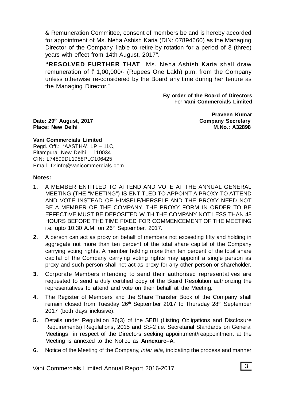& Remuneration Committee, consent of members be and is hereby accorded for appointment of Ms. Neha Ashish Karia (DIN: 07894660) as the Managing Director of the Company, liable to retire by rotation for a period of 3 (three) years with effect from 14th August, 2017".

**"RESOLVED FURTHER THAT** Ms. Neha Ashish Karia shall draw remuneration of  $\bar{\tau}$  1,00,000/- (Rupees One Lakh) p.m. from the Company unless otherwise re-considered by the Board any time during her tenure as the Managing Director."

> **By order of the Board of Directors** For **Vani Commercials Limited**

**Date: 29<sup>th</sup> August, 2017 Place: New Delhi M.No.: A32898**

**Praveen Kumar<br>Company Secretary** 

**Vani Commercials Limited** Regd. Off.: 'AASTHA', LP – 11C, Pitampura, New Delhi – 110034 CIN: L74899DL1988PLC106425 Email ID:info@vanicommercials.com

#### **Notes:**

- **1.** A MEMBER ENTITLED TO ATTEND AND VOTE AT THE ANNUAL GENERAL MEETING (THE "MEETING") IS ENTITLED TO APPOINT A PROXY TO ATTEND AND VOTE INSTEAD OF HIMSELF/HERSELF AND THE PROXY NEED NOT BE A MEMBER OF THE COMPANY. THE PROXY FORM IN ORDER TO BE EFFECTIVE MUST BE DEPOSITED WITH THE COMPANY NOT LESS THAN 48 HOURS BEFORE THE TIME FIXED FOR COMMENCEMENT OF THE MEETING i.e. upto  $10:30$  A.M. on  $26<sup>th</sup>$  September,  $2017$ .
- **2.** A person can act as proxy on behalf of members not exceeding fifty and holding in aggregate not more than ten percent of the total share capital of the Company carrying voting rights. A member holding more than ten percent of the total share capital of the Company carrying voting rights may appoint a single person as proxy and such person shall not act as proxy for any other person or shareholder.
- **3.** Corporate Members intending to send their authorised representatives are requested to send a duly certified copy of the Board Resolution authorizing the representatives to attend and vote on their behalf at the Meeting.
- **4.** The Register of Members and the Share Transfer Book of the Company shall remain closed from Tuesday 26<sup>th</sup> September 2017 to Thursday 28<sup>th</sup> September 2017 (both days inclusive).
- **5.** Details under Regulation 36(3) of the SEBI (Listing Obligations and Disclosure Requirements) Regulations, 2015 and SS-2 i.e. Secretarial Standards on General Meetings in respect of the Directors seeking appointment/reappointment at the Meeting is annexed to the Notice as **Annexure–A**.
- **6.** Notice of the Meeting of the Company, *inter alia,* indicating the process and manner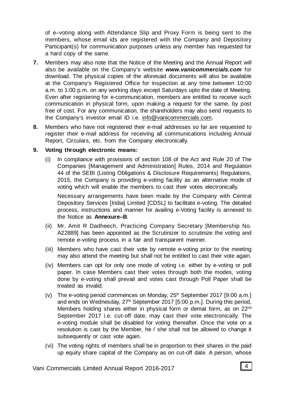of e–voting along with Attendance Slip and Proxy Form is being sent to the members, whose email ids are registered with the Company and Depository Participant(s) for communication purposes unless any member has requested for a hard copy of the same.

- **7.** Members may also note that the Notice of the Meeting and the Annual Report will also be available on the Company's website *www.vanicommercials.com* for download. The physical copies of the aforesaid documents will also be available at the Company's Registered Office for inspection at any time between 10:00 a.m. to 1:00 p.m. on any working days except Saturdays upto the date of Meeting. Even after registering for e-communication, members are entitled to receive such communication in physical form, upon making a request for the same, by post free of cost. For any communication, the shareholders may also send requests to the Company's investor email ID i.e. info@vanicommercials.com.
- **8.** Members who have not registered their e-mail addresses so far are requested to register their e-mail address for receiving all communications including Annual Report, Circulars, etc. from the Company electronically.

#### **9. Voting through electronic means:**

(i) In compliance with provisions of section 108 of the Act and Rule 20 of The Companies [Management and Administration] Rules, 2014 and Regulation 44 of the SEBI (Listing Obligations & Disclosure Requirements) Regulations, 2015, the Company is providing e-voting facility as an alternative mode of voting which will enable the members to cast their votes electronically.

Necessary arrangements have been made by the Company with Central Depository Services [India] Limited [CDSL] to facilitate e-voting. The detailed process, instructions and manner for availing e-Voting facility is annexed to the Notice as **Annexure–B**.

- (ii) Mr. Amit R Dadheech, Practicing Company Secretary [Membership No. A22889] has been appointed as the Scrutinizer to scrutinize the voting and remote e-voting process in a fair and transparent manner.
- (iii) Members who have cast their vote by remote e-voting prior to the meeting may also attend the meeting but shall not be entitled to cast their vote again.
- (iv) Members can opt for only one mode of voting i.e. either by e-voting or poll paper. In case Members cast their votes through both the modes, voting done by e-voting shall prevail and votes cast through Poll Paper shall be treated as invalid.
- (v) The e-voting period commences on Monday,  $25<sup>th</sup>$  September 2017 [9:00 a.m.] and ends on Wednesday, 27<sup>th</sup> September 2017 [5:00 p.m.]. During this period, Members holding shares either in physical form or demat form, as on 22<sup>nd</sup> September 2017 i.e. cut-off date, may cast their vote electronically. The e-voting module shall be disabled for voting thereafter. Once the vote on a resolution is cast by the Member, he / she shall not be allowed to change it subsequently or cast vote again.
- (vi) The voting rights of members shall be in proportion to their shares in the paid up equity share capital of the Company as on cut-off date. A person, whose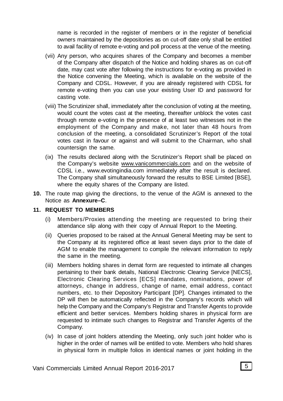name is recorded in the register of members or in the register of beneficial owners maintained by the depositories as on cut-off date only shall be entitled to avail facility of remote e-voting and poll process at the venue of the meeting.

- (vii) Any person, who acquires shares of the Company and becomes a member of the Company after dispatch of the Notice and holding shares as on cut-off date, may cast vote after following the instructions for e-voting as provided in the Notice convening the Meeting, which is available on the website of the Company and CDSL. However, if you are already registered with CDSL for remote e-voting then you can use your existing User ID and password for casting vote.
- (viii) The Scrutinizer shall, immediately after the conclusion of voting at the meeting, would count the votes cast at the meeting, thereafter unblock the votes cast through remote e-voting in the presence of at least two witnesses not in the employment of the Company and make, not later than 48 hours from conclusion of the meeting, a consolidated Scrutinizer's Report of the total votes cast in favour or against and will submit to the Chairman, who shall countersign the same.
- (ix) The results declared along with the Scrutinizer's Report shall be placed on the Company's website www.vanicommercials.com and on the website of CDSL i.e., www.evotingindia.com immediately after the result is declared. The Company shall simultaneously forward the results to BSE Limited [BSE], where the equity shares of the Company are listed.
- **10.** The route map giving the directions, to the venue of the AGM is annexed to the Notice as **Annexure–C**.

#### **11. REQUEST TO MEMBERS**

- (i) Members/Proxies attending the meeting are requested to bring their attendance slip along with their copy of Annual Report to the Meeting.
- (ii) Queries proposed to be raised at the Annual General Meeting may be sent to the Company at its registered office at least seven days prior to the date of AGM to enable the management to compile the relevant information to reply the same in the meeting.
- (iii) Members holding shares in demat form are requested to intimate all changes pertaining to their bank details, National Electronic Clearing Service [NECS], Electronic Clearing Services [ECS] mandates, nominations, power of attorneys, change in address, change of name, email address, contact numbers, etc. to their Depository Participant [DP]. Changes intimated to the DP will then be automatically reflected in the Company's records which will help the Company and the Company's Registrar and Transfer Agents to provide efficient and better services. Members holding shares in physical form are requested to intimate such changes to Registrar and Transfer Agents of the Company.
- (iv) In case of joint holders attending the Meeting, only such joint holder who is higher in the order of names will be entitled to vote. Members who hold shares in physical form in multiple folios in identical names or joint holding in the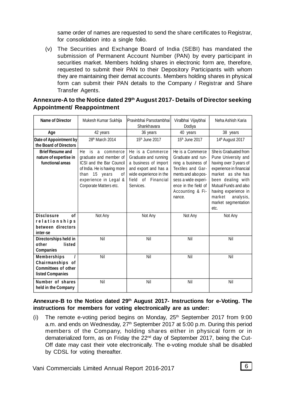same order of names are requested to send the share certificates to Registrar, for consolidation into a single folio.

(v) The Securities and Exchange Board of India (SEBI) has mandated the submission of Permanent Account Number (PAN) by every participant in securities market. Members holding shares in electronic form are, therefore, requested to submit their PAN to their Depository Participants with whom they are maintaining their demat accounts. Members holding shares in physical form can submit their PAN details to the Company / Registrar and Share Transfer Agents.

#### **Annexure-A to the Notice dated 29th August 2017- Details of Director seeking Appointment/ Reappointment**

| <b>Name of Director</b>                                                                         | Mukesh Kumar Sukhija                                                                                                                                                                  | Pravinbhai Parsotambhai<br>Shankhavara                                                                                                                | Viralbhai Vijaybhai<br>Dodiya                                                                                                                                                        | Neha Ashish Karia                                                                                                                                                                                                                                  |
|-------------------------------------------------------------------------------------------------|---------------------------------------------------------------------------------------------------------------------------------------------------------------------------------------|-------------------------------------------------------------------------------------------------------------------------------------------------------|--------------------------------------------------------------------------------------------------------------------------------------------------------------------------------------|----------------------------------------------------------------------------------------------------------------------------------------------------------------------------------------------------------------------------------------------------|
| Age                                                                                             | 42 years                                                                                                                                                                              | 36 years                                                                                                                                              | 40 years                                                                                                                                                                             | 38 years                                                                                                                                                                                                                                           |
| Date of Appointment by<br>the Board of Directors                                                | 28 <sup>th</sup> March 2014                                                                                                                                                           | 15th June 2017                                                                                                                                        | 15 <sup>th</sup> June 2017                                                                                                                                                           | 14 <sup>th</sup> August 2017                                                                                                                                                                                                                       |
| <b>Brief Resume and</b><br>nature of expertise in<br>functional areas                           | He<br>is a<br>commerce<br>graduate and member of<br>ICSI and the Bar Council<br>of India. He is having more<br>than 15 years<br>0f<br>experience in Legal &<br>Corporate Matters etc. | He is a Commerce<br>Graduate and running<br>a business of import<br>and export and has a<br>wide experience in the<br>field of Financial<br>Services. | He is a Commerce<br>Graduate and run-<br>ning a business of<br>Textiles and Gar-<br>ments and also pos-<br>sess a wide experi-<br>ence in the field of<br>Accounting & Fi-<br>nance. | She is Graduated from<br>Pune University and<br>having over 3 years of<br>experience in financial<br>market as she has<br>been dealing with<br>Mutual Funds and also<br>having experience in<br>market<br>analysis,<br>market segmentation<br>etc. |
| <b>Disclosure</b><br>0f<br>relationships<br>between directors<br>inter-se                       | Not Any                                                                                                                                                                               | Not Any                                                                                                                                               | Not Any                                                                                                                                                                              | Not Any                                                                                                                                                                                                                                            |
| Directorships held in<br>other<br>listed<br><b>Companies</b>                                    | Nil                                                                                                                                                                                   | Nil                                                                                                                                                   | Nil                                                                                                                                                                                  | Nil                                                                                                                                                                                                                                                |
| <b>Memberships</b><br>Chairmanships of<br><b>Committees of other</b><br><b>listed Companies</b> | Nil                                                                                                                                                                                   | Nil                                                                                                                                                   | Nil                                                                                                                                                                                  | Nil                                                                                                                                                                                                                                                |
| Number of shares<br>held in the Company                                                         | Nil                                                                                                                                                                                   | Nil                                                                                                                                                   | Nil                                                                                                                                                                                  | Nil                                                                                                                                                                                                                                                |

#### **Annexure-B to the Notice dated 29th August 2017- Instructions for e-Voting. The instructions for members for voting electronically are as under:**

(i) The remote e-voting period begins on Monday,  $25<sup>th</sup>$  September 2017 from 9:00 a.m. and ends on Wednesday, 27<sup>th</sup> September 2017 at 5:00 p.m. During this period members of the Company, holding shares either in physical form or in dematerialized form, as on Friday the 22<sup>nd</sup> day of September 2017, being the Cut-Off date may cast their vote electronically. The e-voting module shall be disabled by CDSL for voting thereafter.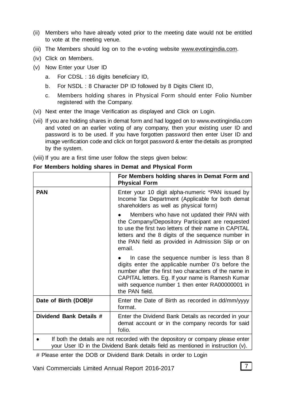- (ii) Members who have already voted prior to the meeting date would not be entitled to vote at the meeting venue.
- (iii) The Members should log on to the e-voting website www.evotingindia.com.
- (iv) Click on Members.
- (v) Now Enter your User ID
	- a. For CDSL : 16 digits beneficiary ID,
	- b. For NSDL : 8 Character DP ID followed by 8 Digits Client ID,
	- c. Members holding shares in Physical Form should enter Folio Number registered with the Company.
- (vi) Next enter the Image Verification as displayed and Click on Login.
- (vii) If you are holding shares in demat form and had logged on to www.evotingindia.com and voted on an earlier voting of any company, then your existing user ID and password is to be used. If you have forgotten password then enter User ID and image verification code and click on forgot password & enter the details as prompted by the system.
- (viii) If you are a first time user follow the steps given below:

|                         | For Members holding shares in Demat Form and<br><b>Physical Form</b>                                                                                                                                                                                                              |
|-------------------------|-----------------------------------------------------------------------------------------------------------------------------------------------------------------------------------------------------------------------------------------------------------------------------------|
| PAN                     | Enter your 10 digit alpha-numeric *PAN issued by<br>Income Tax Department (Applicable for both demat<br>shareholders as well as physical form)                                                                                                                                    |
|                         | Members who have not updated their PAN with<br>the Company/Depository Participant are requested<br>to use the first two letters of their name in CAPITAL<br>letters and the 8 digits of the sequence number in<br>the PAN field as provided in Admission Slip or on<br>email.     |
|                         | In case the sequence number is less than 8<br>digits enter the applicable number 0's before the<br>number after the first two characters of the name in<br>CAPITAL letters. Eg. If your name is Ramesh Kumar<br>with sequence number 1 then enter RA00000001 in<br>the PAN field. |
| Date of Birth (DOB)#    | Enter the Date of Birth as recorded in dd/mm/yyyy<br>format.                                                                                                                                                                                                                      |
| Dividend Bank Details # | Enter the Dividend Bank Details as recorded in your<br>demat account or in the company records for said<br>folio.                                                                                                                                                                 |
|                         | If both the details are not recorded with the depository or company please enter<br>your User ID in the Dividend Bank details field as mentioned in instruction (v).                                                                                                              |

#### **For Members holding shares in Demat and Physical Form**

# Please enter the DOB or Dividend Bank Details in order to Login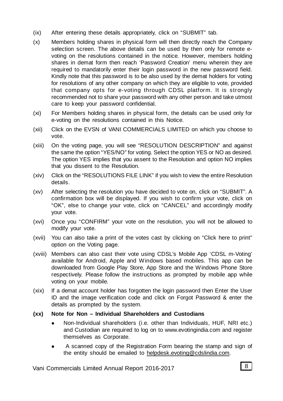- (ix) After entering these details appropriately, click on "SUBMIT" tab.
- (x) Members holding shares in physical form will then directly reach the Company selection screen. The above details can be used by then only for remote evoting on the resolutions contained in the notice. However, members holding shares in demat form then reach 'Password Creation' menu wherein they are required to mandatorily enter their login password in the new password field. Kindly note that this password is to be also used by the demat holders for voting for resolutions of any other company on which they are eligible to vote, provided that company opts for e-voting through CDSL platform. It is strongly recommended not to share your password with any other person and take utmost care to keep your password confidential.
- (xi) For Members holding shares in physical form, the details can be used only for e-voting on the resolutions contained in this Notice.
- (xii) Click on the EVSN of VANI COMMERCIALS LIMITED on which you choose to vote.
- (xiii) On the voting page, you will see "RESOLUTION DESCRIPTION" and against the same the option "YES/NO" for voting. Select the option YES or NO as desired. The option YES implies that you assent to the Resolution and option NO implies that you dissent to the Resolution.
- (xiv) Click on the "RESOLUTIONS FILE LINK" if you wish to view the entire Resolution details.
- (xv) After selecting the resolution you have decided to vote on, click on "SUBMIT". A confirmation box will be displayed. If you wish to confirm your vote, click on "OK", else to change your vote, click on "CANCEL" and accordingly modify your vote.
- (xvi) Once you "CONFIRM" your vote on the resolution, you will not be allowed to modify your vote.
- (xvii) You can also take a print of the votes cast by clicking on "Click here to print" option on the Voting page.
- (xviii) Members can also cast their vote using CDSL's Mobile App 'CDSL m-Voting' available for Android, Apple and Windows based mobiles. This app can be downloaded from Google Play Store, App Store and the Windows Phone Store respectively. Please follow the instructions as prompted by mobile app while voting on your mobile.
- (xix) If a demat account holder has forgotten the login password then Enter the User ID and the image verification code and click on Forgot Password & enter the details as prompted by the system.

#### **(xx) Note for Non – Individual Shareholders and Custodians**

- Non-Individual shareholders (i.e. other than Individuals, HUF, NRI etc.) and Custodian are required to log on to www.evotingindia.com and register themselves as Corporate.
- A scanned copy of the Registration Form bearing the stamp and sign of the entity should be emailed to helpdesk.evoting@cdslindia.com.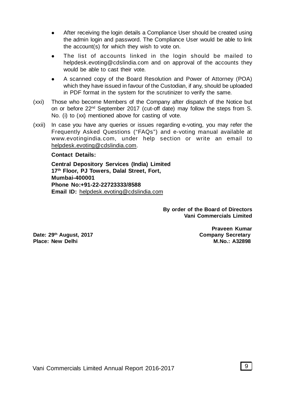- After receiving the login details a Compliance User should be created using the admin login and password. The Compliance User would be able to link the account(s) for which they wish to vote on.
- The list of accounts linked in the login should be mailed to helpdesk.evoting@cdslindia.com and on approval of the accounts they would be able to cast their vote.
- A scanned copy of the Board Resolution and Power of Attorney (POA) which they have issued in favour of the Custodian, if any, should be uploaded in PDF format in the system for the scrutinizer to verify the same.
- (xxi) Those who become Members of the Company after dispatch of the Notice but on or before 22<sup>nd</sup> September 2017 (cut-off date) may follow the steps from S. No. (i) to (xx) mentioned above for casting of vote.
- (xxii) In case you have any queries or issues regarding e-voting, you may refer the Frequently Asked Questions ("FAQs") and e-voting manual available at www.evotingindia.com, under help section or write an email to helpdesk.evoting@cdslindia.com.

#### **Contact Details:**

**Central Depository Services (India) Limited 17th Floor, PJ Towers, Dalal Street, Fort, Mumbai-400001 Phone No:+91-22-22723333/8588 Email ID:** helpdesk.evoting@cdslindia.com

> **By order of the Board of Directors Vani Commercials Limited**

**Date: 29th August, 2017 Company Secretary Place: New Delhi** 

**Praveen Kumar<br>Company Secretary**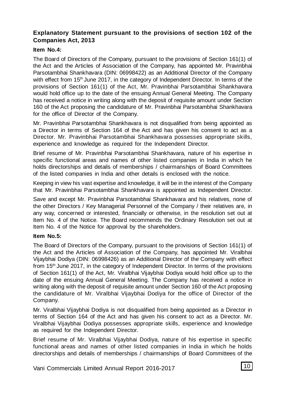# **Explanatory Statement pursuant to the provisions of section 102 of the Companies Act, 2013**

#### **Item No.4:**

The Board of Directors of the Company, pursuant to the provisions of Section 161(1) of the Act and the Articles of Association of the Company, has appointed Mr. Pravinbhai Parsotambhai Shankhavara (DIN: 06998422) as an Additional Director of the Company with effect from 15<sup>th</sup> June 2017, in the category of Independent Director. In terms of the provisions of Section 161(1) of the Act, Mr. Pravinbhai Parsotambhai Shankhavara would hold office up to the date of the ensuing Annual General Meeting. The Company has received a notice in writing along with the deposit of requisite amount under Section 160 of the Act proposing the candidature of Mr. Pravinbhai Parsotambhai Shankhavara for the office of Director of the Company.

Mr. Pravinbhai Parsotambhai Shankhavara is not disqualified from being appointed as a Director in terms of Section 164 of the Act and has given his consent to act as a Director. Mr. Pravinbhai Parsotambhai Shankhavara possesses appropriate skills, experience and knowledge as required for the Independent Director.

Brief resume of Mr. Pravinbhai Parsotambhai Shankhavara, nature of his expertise in specific functional areas and names of other listed companies in India in which he holds directorships and details of memberships / chairmanships of Board Committees of the listed companies in India and other details is enclosed with the notice.

Keeping in view his vast expertise and knowledge, it will be in the interest of the Company that Mr. Pravinbhai Parsotambhai Shankhavara is appointed as Independent Director.

Save and except Mr. Pravinbhai Parsotambhai Shankhavara and his relatives, none of the other Directors / Key Managerial Personnel of the Company / their relatives are, in any way, concerned or interested, financially or otherwise, in the resolution set out at Item No. 4 of the Notice. The Board recommends the Ordinary Resolution set out at Item No. 4 of the Notice for approval by the shareholders.

#### **Item No.5:**

The Board of Directors of the Company, pursuant to the provisions of Section 161(1) of the Act and the Articles of Association of the Company, has appointed Mr. Viralbhai Vijaybhai Dodiya (DIN: 06998426) as an Additional Director of the Company with effect from 15<sup>th</sup> June 2017, in the category of Independent Director. In terms of the provisions of Section 161(1) of the Act, Mr. Viralbhai Vijaybhai Dodiya would hold office up to the date of the ensuing Annual General Meeting. The Company has received a notice in writing along with the deposit of requisite amount under Section 160 of the Act proposing the candidature of Mr. Viralbhai Vijaybhai Dodiya for the office of Director of the Company.

Mr. Viralbhai Vijaybhai Dodiya is not disqualified from being appointed as a Director in terms of Section 164 of the Act and has given his consent to act as a Director. Mr. Viralbhai Vijaybhai Dodiya possesses appropriate skills, experience and knowledge as required for the Independent Director.

Brief resume of Mr. Viralbhai Vijaybhai Dodiya, nature of his expertise in specific functional areas and names of other listed companies in India in which he holds directorships and details of memberships / chairmanships of Board Committees of the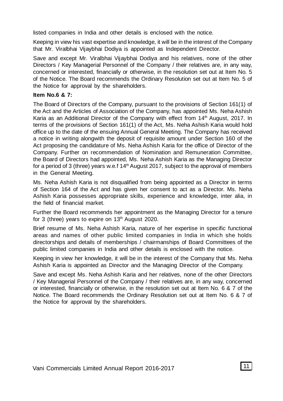listed companies in India and other details is enclosed with the notice.

Keeping in view his vast expertise and knowledge, it will be in the interest of the Company that Mr. Viralbhai Vijaybhai Dodiya is appointed as Independent Director.

Save and except Mr. Viralbhai Vijaybhai Dodiya and his relatives, none of the other Directors / Key Managerial Personnel of the Company / their relatives are, in any way, concerned or interested, financially or otherwise, in the resolution set out at Item No. 5 of the Notice. The Board recommends the Ordinary Resolution set out at Item No. 5 of the Notice for approval by the shareholders.

#### **Item No.6 & 7:**

The Board of Directors of the Company, pursuant to the provisions of Section 161(1) of the Act and the Articles of Association of the Company, has appointed Ms. Neha Ashish Karia as an Additional Director of the Company with effect from 14th August, 2017. In terms of the provisions of Section 161(1) of the Act, Ms. Neha Ashish Karia would hold office up to the date of the ensuing Annual General Meeting. The Company has received a notice in writing alongwith the deposit of requisite amount under Section 160 of the Act proposing the candidature of Ms. Neha Ashish Karia for the office of Director of the Company. Further on recommendation of Nomination and Remuneration Committee, the Board of Directors had appointed, Ms. Neha Ashish Karia as the Managing Director for a period of 3 (three) years w.e.f  $14<sup>th</sup>$  August 2017, subject to the approval of members in the General Meeting.

Ms. Neha Ashish Karia is not disqualified from being appointed as a Director in terms of Section 164 of the Act and has given her consent to act as a Director. Ms. Neha Ashish Karia possesses appropriate skills, experience and knowledge, inter alia, in the field of financial market.

Further the Board recommends her appointment as the Managing Director for a tenure for 3 (three) years to expire on 13<sup>th</sup> August 2020.

Brief resume of Ms. Neha Ashish Karia, nature of her expertise in specific functional areas and names of other public limited companies in India in which she holds directorships and details of memberships / chairmanships of Board Committees of the public limited companies in India and other details is enclosed with the notice.

Keeping in view her knowledge, it will be in the interest of the Company that Ms. Neha Ashish Karia is appointed as Director and the Managing Director of the Company.

Save and except Ms. Neha Ashish Karia and her relatives, none of the other Directors / Key Managerial Personnel of the Company / their relatives are, in any way, concerned or interested, financially or otherwise, in the resolution set out at Item No. 6 & 7 of the Notice. The Board recommends the Ordinary Resolution set out at Item No. 6 & 7 of the Notice for approval by the shareholders.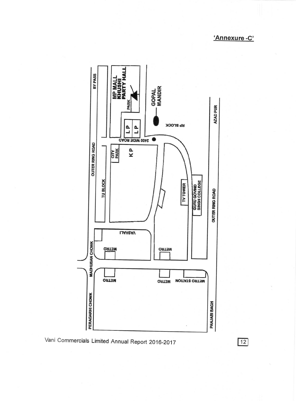'Annexure-C'



Vani Commercials Limited Annual Report 2016-2017

 $12$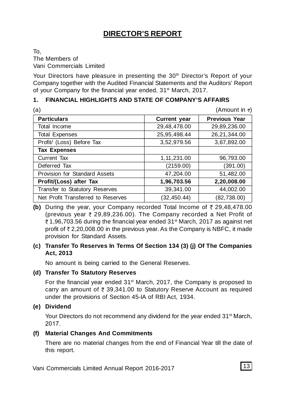# **DIRECTOR'S REPORT**

To, The Members of Vani Commercials Limited

Your Directors have pleasure in presenting the 30<sup>th</sup> Director's Report of your Company together with the Audited Financial Statements and the Auditors' Report of your Company for the financial year ended, 31<sup>st</sup> March, 2017.

# **1. FINANCIAL HIGHLIGHTS AND STATE OF COMPANY'S AFFAIRS**

| (a)                                |                     | (Amount in $\overline{\tau}$ ) |
|------------------------------------|---------------------|--------------------------------|
| <b>Particulars</b>                 | <b>Current year</b> | <b>Previous Year</b>           |
| Total Income                       | 29,48,478.00        | 29,89,236.00                   |
| <b>Total Expenses</b>              | 25,95,498.44        | 26,21,344.00                   |
| Profit/ (Loss) Before Tax          | 3,52,979.56         | 3,67,892.00                    |
| <b>Tax Expenses</b>                |                     |                                |
| Current Tax                        | 1, 11, 231.00       | 96,793.00                      |
| Deferred Tax                       | (2159.00)           | (391.00)                       |
| Provision for Standard Assets      | 47,204.00           | 51,482.00                      |
| Profit/(Loss) after Tax            | 1,96,703.56         | 2,20,008.00                    |
| Transfer to Statutory Reserves     | 39,341.00           | 44,002.00                      |
| Net Profit Transferred to Reserves | (32.450.44)         | (82, 738.00)                   |

**(b)** During the year, your Company recorded Total Income of  $\bar{\tau}$  29,48,478.00 (previous year  $\bar{\tau}$  29,89,236.00). The Company recorded a Net Profit of  $\bar{\tau}$  1,96,703.56 during the financial year ended 31<sup>st</sup> March, 2017 as against net profit of  $\bar{\tau}$  2,20,008.00 in the previous year. As the Company is NBFC, it made provision for Standard Assets.

### **(c) Transfer To Reserves In Terms Of Section 134 (3) (j) Of The Companies Act, 2013**

No amount is being carried to the General Reserves.

### **(d) Transfer To Statutory Reserves**

For the financial year ended 31<sup>st</sup> March, 2017, the Company is proposed to carry an amount of  $\bar{\tau}$  39,341.00 to Statutory Reserve Account as required under the provisions of Section 45-IA of RBI Act, 1934.

### **(e) Dividend**

Your Directors do not recommend any dividend for the year ended 31<sup>st</sup> March, 2017.

### **(f) Material Changes And Commitments**

There are no material changes from the end of Financial Year till the date of this report.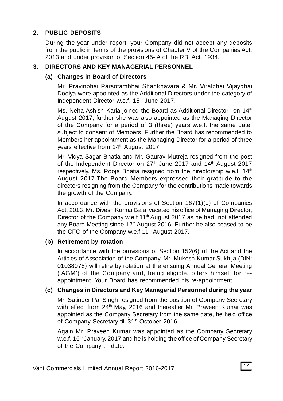# **2. PUBLIC DEPOSITS**

During the year under report, your Company did not accept any deposits from the public in terms of the provisions of Chapter V of the Companies Act, 2013 and under provision of Section 45-IA of the RBI Act, 1934.

# **3. DIRECTORS AND KEY MANAGERIAL PERSONNEL**

#### **(a) Changes in Board of Directors**

Mr. Pravinbhai Parsotambhai Shankhavara & Mr. Viralbhai Vijaybhai Dodiya were appointed as the Additional Directors under the category of Independent Director w.e.f. 15<sup>th</sup> June 2017.

Ms. Neha Ashish Karia joined the Board as Additional Director on 14<sup>th</sup> August 2017, further she was also appointed as the Managing Director of the Company for a period of 3 (three) years w.e.f. the same date, subject to consent of Members. Further the Board has recommended to Members her appointment as the Managing Director for a period of three vears effective from 14<sup>th</sup> August 2017.

Mr. Vidya Sagar Bhatia and Mr. Gaurav Mutreja resigned from the post of the Independent Director on 27<sup>th</sup> June 2017 and 14<sup>th</sup> August 2017 respectively. Ms. Pooja Bhatia resigned from the directorship w.e.f.  $14<sup>th</sup>$ August 2017.The Board Members expressed their gratitude to the directors resigning from the Company for the contributions made towards the growth of the Company.

In accordance with the provisions of Section 167(1)(b) of Companies Act, 2013, Mr. Divesh Kumar Bajaj vacated his office of Managing Director, Director of the Company w.e.f 11<sup>th</sup> August 2017 as he had not attended any Board Meeting since  $12<sup>th</sup>$  August 2016. Further he also ceased to be the CFO of the Company w.e.f  $11<sup>th</sup>$  August 2017.

### **(b) Retirement by rotation**

In accordance with the provisions of Section 152(6) of the Act and the Articles of Association of the Company, Mr. Mukesh Kumar Sukhija (DIN: 01038078) will retire by rotation at the ensuing Annual General Meeting ('AGM') of the Company and, being eligible, offers himself for reappointment. Your Board has recommended his re-appointment.

### **(c) Changes in Directors and Key Managerial Personnel during the year**

Mr. Satinder Pal Singh resigned from the position of Company Secretary with effect from 24<sup>th</sup> May, 2016 and thereafter Mr. Praveen Kumar was appointed as the Company Secretary from the same date, he held office of Company Secretary till 31<sup>st</sup> October 2016.

Again Mr. Praveen Kumar was appointed as the Company Secretary w.e.f. 16<sup>th</sup> January, 2017 and he is holding the office of Company Secretary of the Company till date.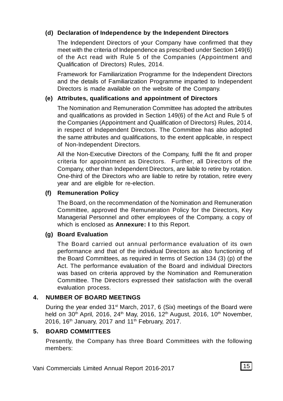# **(d) Declaration of Independence by the Independent Directors**

The Independent Directors of your Company have confirmed that they meet with the criteria of Independence as prescribed under Section 149(6) of the Act read with Rule 5 of the Companies (Appointment and Qualification of Directors) Rules, 2014.

Framework for Familiarization Programme for the Independent Directors and the details of Familiarization Programme imparted to Independent Directors is made available on the website of the Company.

# **(e) Attributes, qualifications and appointment of Directors**

The Nomination and Remuneration Committee has adopted the attributes and qualifications as provided in Section 149(6) of the Act and Rule 5 of the Companies (Appointment and Qualification of Directors) Rules, 2014, in respect of Independent Directors. The Committee has also adopted the same attributes and qualifications, to the extent applicable, in respect of Non-Independent Directors.

All the Non-Executive Directors of the Company, fulfil the fit and proper criteria for appointment as Directors. Further, all Directors of the Company, other than Independent Directors, are liable to retire by rotation. One-third of the Directors who are liable to retire by rotation, retire every year and are eligible for re-election.

# **(f) Remuneration Policy**

The Board, on the recommendation of the Nomination and Remuneration Committee, approved the Remuneration Policy for the Directors, Key Managerial Personnel and other employees of the Company, a copy of which is enclosed as **Annexure: I** to this Report.

# **(g) Board Evaluation**

The Board carried out annual performance evaluation of its own performance and that of the individual Directors as also functioning of the Board Committees, as required in terms of Section 134 (3) (p) of the Act. The performance evaluation of the Board and individual Directors was based on criteria approved by the Nomination and Remuneration Committee. The Directors expressed their satisfaction with the overall evaluation process.

# **4. NUMBER OF BOARD MEETINGS**

During the year ended 31<sup>st</sup> March, 2017, 6 (Six) meetings of the Board were held on 30<sup>th</sup> April, 2016, 24<sup>th</sup> May, 2016, 12<sup>th</sup> August, 2016, 10<sup>th</sup> November, 2016, 16<sup>th</sup> January, 2017 and 11<sup>th</sup> February, 2017.

### **5. BOARD COMMITTEES**

Presently, the Company has three Board Committees with the following members: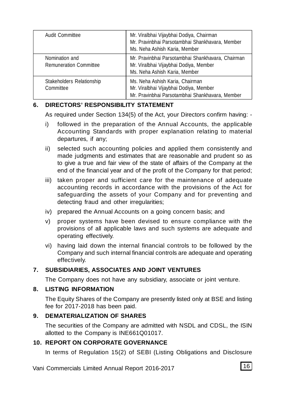| Audit Committee                                 | Mr. Viralbhai Vijaybhai Dodiya, Chairman<br>Mr. Pravinbhai Parsotambhai Shankhavara, Member<br>Ms. Neha Ashish Karia, Member |
|-------------------------------------------------|------------------------------------------------------------------------------------------------------------------------------|
| Nomination and<br><b>Remuneration Committee</b> | Mr. Pravinbhai Parsotambhai Shankhavara, Chairman<br>Mr. Viralbhai Vijaybhai Dodiya, Member<br>Ms. Neha Ashish Karia, Member |
| Stakeholders Relationship<br>Committee          | Ms. Neha Ashish Karia, Chairman<br>Mr. Viralbhai Vijaybhai Dodiya, Member<br>Mr. Pravinbhai Parsotambhai Shankhavara, Member |

### **6. DIRECTORS' RESPONSIBILITY STATEMENT**

As required under Section 134(5) of the Act, your Directors confirm having: -

- i) followed in the preparation of the Annual Accounts, the applicable Accounting Standards with proper explanation relating to material departures, if any;
- ii) selected such accounting policies and applied them consistently and made judgments and estimates that are reasonable and prudent so as to give a true and fair view of the state of affairs of the Company at the end of the financial year and of the profit of the Company for that period;
- iii) taken proper and sufficient care for the maintenance of adequate accounting records in accordance with the provisions of the Act for safeguarding the assets of your Company and for preventing and detecting fraud and other irregularities;
- iv) prepared the Annual Accounts on a going concern basis; and
- v) proper systems have been devised to ensure compliance with the provisions of all applicable laws and such systems are adequate and operating effectively.
- vi) having laid down the internal financial controls to be followed by the Company and such internal financial controls are adequate and operating effectively.

### **7. SUBSIDIARIES, ASSOCIATES AND JOINT VENTURES**

The Company does not have any subsidiary, associate or joint venture.

#### **8. LISTING INFORMATION**

The Equity Shares of the Company are presently listed only at BSE and listing fee for 2017-2018 has been paid.

#### **9. DEMATERIALIZATION OF SHARES**

The securities of the Company are admitted with NSDL and CDSL, the ISIN allotted to the Company is INE661Q01017.

#### **10. REPORT ON CORPORATE GOVERNANCE**

In terms of Regulation 15(2) of SEBI (Listing Obligations and Disclosure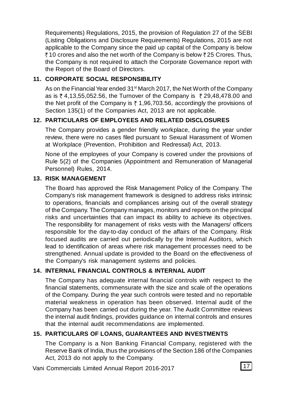Requirements) Regulations, 2015, the provision of Regulation 27 of the SEBI (Listing Obligations and Disclosure Requirements) Regulations, 2015 are not applicable to the Company since the paid up capital of the Company is below  $\overline{3}$  10 crores and also the net worth of the Company is below  $\overline{3}$  25 Crores. Thus, the Company is not required to attach the Corporate Governance report with the Report of the Board of Directors.

# **11. CORPORATE SOCIAL RESPONSIBILITY**

As on the Financial Year ended 31<sup>st</sup> March 2017, the Net Worth of the Company as is  $\bar{\zeta}$  4,13,55,052.56, the Turnover of the Company is  $\bar{\zeta}$  29,48,478.00 and the Net profit of the Company is  $\bar{z}$  1,96,703.56, accordingly the provisions of Section 135(1) of the Companies Act, 2013 are not applicable.

# **12. PARTICULARS OF EMPLOYEES AND RELATED DISCLOSURES**

The Company provides a gender friendly workplace, during the year under review, there were no cases filed pursuant to Sexual Harassment of Women at Workplace (Prevention, Prohibition and Redressal) Act, 2013.

None of the employees of your Company is covered under the provisions of Rule 5(2) of the Companies (Appointment and Remuneration of Managerial Personnel) Rules, 2014.

#### **13. RISK MANAGEMENT**

The Board has approved the Risk Management Policy of the Company. The Company's risk management framework is designed to address risks intrinsic to operations, financials and compliances arising out of the overall strategy of the Company. The Company manages, monitors and reports on the principal risks and uncertainties that can impact its ability to achieve its objectives. The responsibility for management of risks vests with the Managers/ officers responsible for the day-to-day conduct of the affairs of the Company. Risk focused audits are carried out periodically by the Internal Auditors, which lead to identification of areas where risk management processes need to be strengthened. Annual update is provided to the Board on the effectiveness of the Company's risk management systems and policies.

### **14. INTERNAL FINANCIAL CONTROLS & INTERNAL AUDIT**

The Company has adequate internal financial controls with respect to the financial statements, commensurate with the size and scale of the operations of the Company. During the year such controls were tested and no reportable material weakness in operation has been observed. Internal audit of the Company has been carried out during the year. The Audit Committee reviews the internal audit findings, provides guidance on internal controls and ensures that the internal audit recommendations are implemented.

# **15. PARTICULARS OF LOANS, GUARANTEES AND INVESTMENTS**

The Company is a Non Banking Financial Company, registered with the Reserve Bank of India, thus the provisions of the Section 186 of the Companies Act, 2013 do not apply to the Company.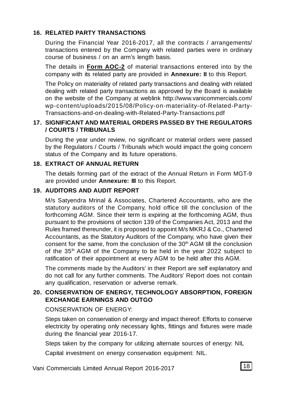### **16. RELATED PARTY TRANSACTIONS**

During the Financial Year 2016-2017, all the contracts / arrangements/ transactions entered by the Company with related parties were in ordinary course of business / on an arm's length basis.

The details in **Form AOC-2** of material transactions entered into by the company with its related party are provided in **Annexure: II** to this Report.

The Policy on materiality of related party transactions and dealing with related dealing with related party transactions as approved by the Board is available on the website of the Company at weblink http://www.vanicommercials.com/ wp-content/uploads/2015/08/Policy-on-materiality-of-Related-Party-Transactions-and-on-dealing-with-Related-Party-Transactions.pdf

#### **17. SIGNIFICANT AND MATERIAL ORDERS PASSED BY THE REGULATORS / COURTS / TRIBUNALS**

During the year under review, no significant or material orders were passed by the Regulators / Courts / Tribunals which would impact the going concern status of the Company and its future operations.

#### **18. EXTRACT OF ANNUAL RETURN**

The details forming part of the extract of the Annual Return in Form MGT-9 are provided under **Annexure: III** to this Report.

#### **19. AUDITORS AND AUDIT REPORT**

M/s Satyendra Mrinal & Associates, Chartered Accountants, who are the statutory auditors of the Company, hold office till the conclusion of the forthcoming AGM. Since their term is expiring at the forthcoming AGM, thus pursuant to the provisions of section 139 of the Companies Act, 2013 and the Rules framed thereunder, it is proposed to appoint M/s MKRJ & Co., Chartered Accountants, as the Statutory Auditors of the Company, who have given their consent for the same, from the conclusion of the  $30<sup>th</sup> AGM$  till the conclusion of the 35<sup>th</sup> AGM of the Company to be held in the year 2022 subject to ratification of their appointment at every AGM to be held after this AGM.

The comments made by the Auditors' in their Report are self explanatory and do not call for any further comments. The Auditors' Report does not contain any qualification, reservation or adverse remark.

### **20. CONSERVATION OF ENERGY, TECHNOLOGY ABSORPTION, FOREIGN EXCHANGE EARNINGS AND OUTGO**

#### CONSERVATION OF ENERGY:

Steps taken on conservation of energy and impact thereof: Efforts to conserve electricity by operating only necessary lights, fittings and fixtures were made during the financial year 2016-17.

Steps taken by the company for utilizing alternate sources of energy: NIL

Capital investment on energy conservation equipment: NIL.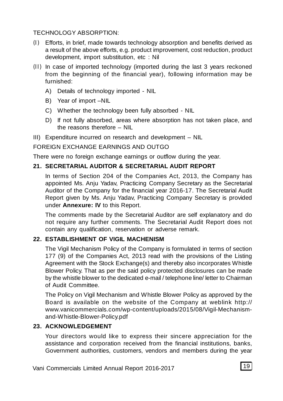#### TECHNOLOGY ABSORPTION:

- (I) Efforts, in brief, made towards technology absorption and benefits derived as a result of the above efforts, e.g. product improvement, cost reduction, product development, import substitution, etc : Nil
- (II) In case of imported technology (imported during the last 3 years reckoned from the beginning of the financial year), following information may be furnished:
	- A) Details of technology imported NIL
	- B) Year of import –NIL
	- C) Whether the technology been fully absorbed NIL
	- D) If not fully absorbed, areas where absorption has not taken place, and the reasons therefore – NIL
- III) Expenditure incurred on research and development NIL

#### FOREIGN EXCHANGE EARNINGS AND OUTGO

There were no foreign exchange earnings or outflow during the year.

### **21. SECRETARIAL AUDITOR & SECRETARIAL AUDIT REPORT**

In terms of Section 204 of the Companies Act, 2013, the Company has appointed Ms. Anju Yadav, Practicing Company Secretary as the Secretarial Auditor of the Company for the financial year 2016-17. The Secretarial Audit Report given by Ms. Anju Yadav, Practicing Company Secretary is provided under **Annexure: IV** to this Report.

The comments made by the Secretarial Auditor are self explanatory and do not require any further comments. The Secretarial Audit Report does not contain any qualification, reservation or adverse remark.

### **22. ESTABLISHMENT OF VIGIL MACHENISM**

The Vigil Mechanism Policy of the Company is formulated in terms of section 177 (9) of the Companies Act, 2013 read with the provisions of the Listing Agreement with the Stock Exchange(s) and thereby also incorporates Whistle Blower Policy. That as per the said policy protected disclosures can be made by the whistle blower to the dedicated e-mail / telephone line/ letter to Chairman of Audit Committee.

The Policy on Vigil Mechanism and Whistle Blower Policy as approved by the Board is available on the website of the Company at weblink http:// www.vanicommercials.com/wp-content/uploads/2015/08/Vigil-Mechanismand-Whistle-Blower-Policy.pdf

# **23. ACKNOWLEDGEMENT**

Your directors would like to express their sincere appreciation for the assistance and corporation received from the financial institutions, banks, Government authorities, customers, vendors and members during the year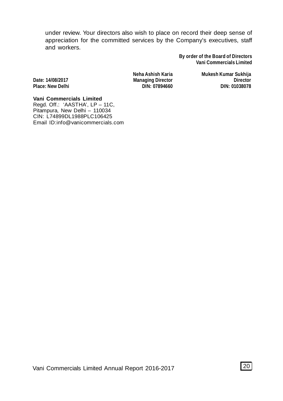under review. Your directors also wish to place on record their deep sense of appreciation for the committed services by the Company's executives, staff and workers.

> **By order of the Board of Directors Vani Commercials Limited**

 $Place: New Delhi$ 

**Neha Ashish Karia Mukesh Kumar Sukhija Date: 14/08/2017 Managing Director Director**

**Vani Commercials Limited** Regd. Off.: 'AASTHA', LP – 11C, Pitampura, New Delhi – 110034 CIN: L74899DL1988PLC106425 Email ID:info@vanicommercials.com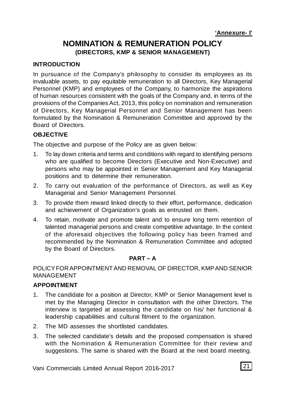# **NOMINATION & REMUNERATION POLICY (DIRECTORS, KMP & SENIOR MANAGEMENT)**

# **INTRODUCTION**

In pursuance of the Company's philosophy to consider its employees as its invaluable assets, to pay equitable remuneration to all Directors, Key Managerial Personnel (KMP) and employees of the Company, to harmonize the aspirations of human resources consistent with the goals of the Company and, in terms of the provisions of the Companies Act, 2013, this policy on nomination and remuneration of Directors, Key Managerial Personnel and Senior Management has been formulated by the Nomination & Remuneration Committee and approved by the Board of Directors.

# **OBJECTIVE**

The objective and purpose of the Policy are as given below:

- 1. To lay down criteria and terms and conditions with regard to identifying persons who are qualified to become Directors (Executive and Non-Executive) and persons who may be appointed in Senior Management and Key Managerial positions and to determine their remuneration.
- 2. To carry out evaluation of the performance of Directors, as well as Key Managerial and Senior Management Personnel.
- 3. To provide them reward linked directly to their effort, performance, dedication and achievement of Organization's goals as entrusted on them.
- 4. To retain, motivate and promote talent and to ensure long term retention of talented managerial persons and create competitive advantage. In the context of the aforesaid objectives the following policy has been framed and recommended by the Nomination & Remuneration Committee and adopted by the Board of Directors.

### **PART – A**

POLICY FOR APPOINTMENT AND REMOVAL OF DIRECTOR, KMP AND SENIOR MANAGEMENT

### **APPOINTMENT**

- 1. The candidate for a position at Director, KMP or Senior Management level is met by the Managing Director in consultation with the other Directors. The interview is targeted at assessing the candidate on his/ her functional & leadership capabilities and cultural fitment to the organization.
- 2. The MD assesses the shortlisted candidates.
- 3. The selected candidate's details and the proposed compensation is shared with the Nomination & Remuneration Committee for their review and suggestions. The same is shared with the Board at the next board meeting.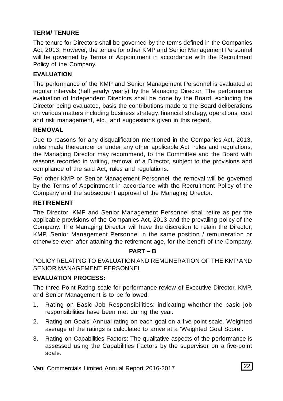# **TERM/ TENURE**

The tenure for Directors shall be governed by the terms defined in the Companies Act, 2013. However, the tenure for other KMP and Senior Management Personnel will be governed by Terms of Appointment in accordance with the Recruitment Policy of the Company.

# **EVALUATION**

The performance of the KMP and Senior Management Personnel is evaluated at regular intervals (half yearly/ yearly) by the Managing Director. The performance evaluation of Independent Directors shall be done by the Board, excluding the Director being evaluated, basis the contributions made to the Board deliberations on various matters including business strategy, financial strategy, operations, cost and risk management, etc., and suggestions given in this regard.

### **REMOVAL**

Due to reasons for any disqualification mentioned in the Companies Act, 2013, rules made thereunder or under any other applicable Act, rules and regulations, the Managing Director may recommend, to the Committee and the Board with reasons recorded in writing, removal of a Director, subject to the provisions and compliance of the said Act, rules and regulations.

For other KMP or Senior Management Personnel, the removal will be governed by the Terms of Appointment in accordance with the Recruitment Policy of the Company and the subsequent approval of the Managing Director.

### **RETIREMENT**

The Director, KMP and Senior Management Personnel shall retire as per the applicable provisions of the Companies Act, 2013 and the prevailing policy of the Company. The Managing Director will have the discretion to retain the Director, KMP, Senior Management Personnel in the same position / remuneration or otherwise even after attaining the retirement age, for the benefit of the Company.

### **PART – B**

POLICY RELATING TO EVALUATION AND REMUNERATION OF THE KMP AND SENIOR MANAGEMENT PERSONNEL

### **EVALUATION PROCESS:**

The three Point Rating scale for performance review of Executive Director, KMP, and Senior Management is to be followed:

- 1. Rating on Basic Job Responsibilities: indicating whether the basic job responsibilities have been met during the year.
- 2. Rating on Goals: Annual rating on each goal on a five-point scale. Weighted average of the ratings is calculated to arrive at a 'Weighted Goal Score'.
- 3. Rating on Capabilities Factors: The qualitative aspects of the performance is assessed using the Capabilities Factors by the supervisor on a five-point scale.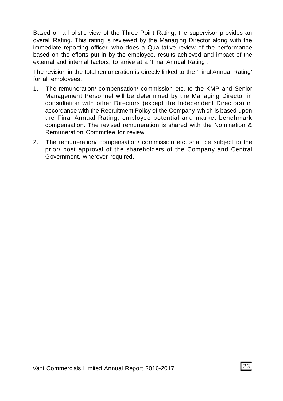Based on a holistic view of the Three Point Rating, the supervisor provides an overall Rating. This rating is reviewed by the Managing Director along with the immediate reporting officer, who does a Qualitative review of the performance based on the efforts put in by the employee, results achieved and impact of the external and internal factors, to arrive at a 'Final Annual Rating'.

The revision in the total remuneration is directly linked to the 'Final Annual Rating' for all employees.

- 1. The remuneration/ compensation/ commission etc. to the KMP and Senior Management Personnel will be determined by the Managing Director in consultation with other Directors (except the Independent Directors) in accordance with the Recruitment Policy of the Company, which is based upon the Final Annual Rating, employee potential and market benchmark compensation. The revised remuneration is shared with the Nomination & Remuneration Committee for review.
- 2. The remuneration/ compensation/ commission etc. shall be subject to the prior/ post approval of the shareholders of the Company and Central Government, wherever required.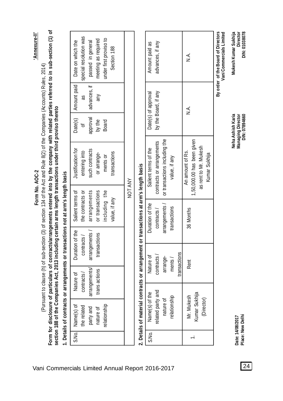|         | ċ                 |
|---------|-------------------|
| Ņ<br>ٺ  | أدماه             |
| Ś       | i                 |
| ş       | مطالبا تكم        |
| ξ       |                   |
| ī.<br>L | 3<br>$\mathbf{c}$ |

**'Annexure-II'**

Annexure-II'

(Pursuant to clause (h) of sub-section (3) of section 134 of the Act and Rule 8(2) of the Companies (Accounts) Rules, 2014) (Pursuant to clause (h) of sub-section (3) of section 134 of the Act and Rule 8(2) of the Companies (Accounts) Rules, 2014)

Form for disclosure of particulars of contracts/arrangements entered into by the company with related parties referred to in sub-section (1) of **Form for disclosure of particulars of con**t**racts/arrangements entered into by the company with related parties referred to in sub-section (1) of** section 188 of the Companies Act, 2013 including certain arms length transactions under third proviso thereto **section 188 of the Companies Act, 2013 including certain arms length transactions under third proviso thereto**

1. Details of contracts or arrangements or transactions not at arm's length basis **1. Details of contracts or arrangements or transactions not at arm's length basis**

| Date(s)   Amount paid   Date on which the                          | special resolution was | advances, if   passed in general | meeting as required | under first proviso to | Section 188   |         |
|--------------------------------------------------------------------|------------------------|----------------------------------|---------------------|------------------------|---------------|---------|
|                                                                    | as                     |                                  | Μu                  |                        |               |         |
|                                                                    |                        | approval                         | by the              | <b>Board</b>           |               |         |
|                                                                    | entering into          | such contracts                   | or arrange-         | ments or               | ransactions   |         |
| Nature of   Duration of the   Salient terms of   Justification for | the contracts or       | arrangements / arrangements      | or transactions     | including the          | value, if any | NOT ANY |
|                                                                    | contracts/             |                                  | transactions        |                        |               |         |
|                                                                    | contracts /            | arrangements/                    | trans actions       |                        |               |         |
| S.No.   Name(s) of                                                 | the related            | party and                        | nature of           | elationship            |               |         |
|                                                                    |                        |                                  |                     |                        |               |         |

# 2. Details of material contracts or arrangement or transactions at arm's length basis **2. Details of material contracts or arrangement or transactions at arm's length basis**

| By order of the Board of Directors |                      |                                                |                 |              |                             |       |
|------------------------------------|----------------------|------------------------------------------------|-----------------|--------------|-----------------------------|-------|
|                                    |                      | as rent to Mr. Mukesh<br>Kumar Sukhija         |                 |              | (Director)                  |       |
| $\stackrel{<}{\simeq}$             | ∖<br>Z               | ,50,000.00 has been given<br>An amount of Rs.  | 36 Months       | Rent         | Kumar Sukhija<br>Mr. Mukesh |       |
|                                    |                      |                                                |                 | transactions |                             |       |
|                                    |                      | value, if any                                  | ransactions     | ments/       | relationship                |       |
|                                    |                      | arrangements /   or transactions including the |                 | arrange-     | nature of                   |       |
| advances, if any                   | by the Board, if any | contracts or arrangements                      | contracts/      | contracts/   | related party and           |       |
| Amount paid as                     | Date(s) of approval  | Salient terms of the                           | Duration of the | Nature of    | Name(s) of the              | S.No. |
|                                    |                      |                                                |                 |              |                             |       |

**Date: 14/08/2017 Place: New Delhi**

Date: 14/08/2017<br>Place: New Delhi

**Vani Commercials Limited**

Vani Commercials Limited Mukesh Kumar Sukhija

**Neha Ashish Karia Mukesh Kumar Sukhija Managing Director Director DIN: 07894660 DIN: 01038078**

Neha Ashish Karia Managing Director<br>DIN: 07894660

Director DIN: 01038078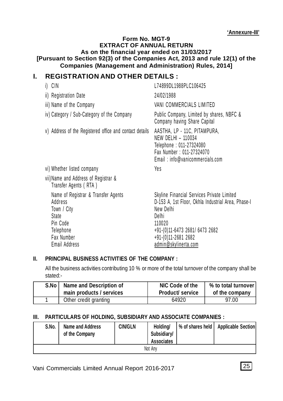#### **Form No. MGT-9 EXTRACT OF ANNUAL RETURN As on the financial year ended on 31/03/2017 [Pursuant to Section 92(3) of the Companies Act, 2013 and rule 12(1) of the Companies (Management and Administration) Rules, 2014]**

# **I. REGISTRATION AND OTHER DETAILS :**

| i) CIN                                                                                                                         | L74899DL1988PLC106425                                                                                                                                                                                             |
|--------------------------------------------------------------------------------------------------------------------------------|-------------------------------------------------------------------------------------------------------------------------------------------------------------------------------------------------------------------|
| ii) Registration Date                                                                                                          | 24/02/1988                                                                                                                                                                                                        |
| iii) Name of the Company                                                                                                       | VANI COMMERCIALS LIMITED                                                                                                                                                                                          |
| iv) Category / Sub-Category of the Company                                                                                     | Public Company, Limited by shares, NBFC &<br>Company having Share Capital                                                                                                                                         |
| v) Address of the Registered office and contact details                                                                        | AASTHA, LP - 11C, PITAMPURA,<br>NEW DELHI - 110034<br>Telephone: 011-27324080<br>Fax Number: 011-27324070<br>Email: info@vanicommercials.com                                                                      |
| vi) Whether listed company                                                                                                     | Yes                                                                                                                                                                                                               |
| vii) Name and Address of Registrar &<br>Transfer Agents (RTA)                                                                  |                                                                                                                                                                                                                   |
| Name of Registrar & Transfer Agents<br>Address<br>Town / City<br>State<br>Pin Code<br>Telephone<br>Fax Number<br>Email Address | Skyline Financial Services Private Limited<br>D-153 A, 1st Floor, Okhla Industrial Area, Phase-I<br>New Delhi<br>Delhi<br>110020<br>+91-(0)11-6473 2681/ 6473 2682<br>+91-(0)11-2681 2682<br>admin@skylinerta.com |

# **II. PRINCIPAL BUSINESS ACTIVITIES OF THE COMPANY :**

All the business activities contributing 10 % or more of the total turnover of the company shall be stated:-

| S.No | Name and Description of  | NIC Code of the         | % to total turnover |
|------|--------------------------|-------------------------|---------------------|
|      | main products / services | <b>Product/ service</b> | of the company      |
|      | Other credit granting    | 64920                   | 97.00               |

### **III. PARTICULARS OF HOLDING, SUBSIDIARY AND ASSOCIATE COMPANIES :**

| S.No.   | Name and Address<br>of the Company | <b>CIN/GLN</b> | Holdina/<br>Subsidiary/<br><b>Associates</b> |  | % of shares held   Applicable Section |  |  |
|---------|------------------------------------|----------------|----------------------------------------------|--|---------------------------------------|--|--|
| Not Anv |                                    |                |                                              |  |                                       |  |  |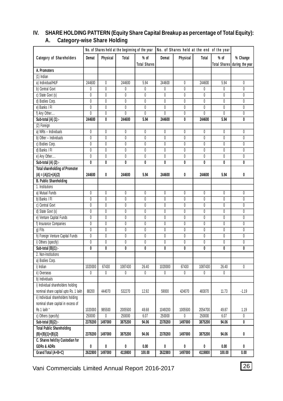| No. of Shares held at the beginning of the year<br>No. of Shares held at the end of the year |                |                         |                         |                         |                         |                         |                         |                         |                         |
|----------------------------------------------------------------------------------------------|----------------|-------------------------|-------------------------|-------------------------|-------------------------|-------------------------|-------------------------|-------------------------|-------------------------|
| Category of Shareholders                                                                     | Demat          | Physical                | Total                   | $%$ of                  | Demat                   | Physical                | Total                   | $%$ of                  | % Change                |
|                                                                                              |                |                         |                         | <b>Total Shares</b>     |                         |                         |                         | <b>Total Shares</b>     | during the year         |
| A. Promoters                                                                                 |                |                         |                         |                         |                         |                         |                         |                         |                         |
| $(1)$ Indian                                                                                 |                |                         |                         |                         |                         |                         |                         |                         |                         |
| a) Individual/HUF                                                                            | 244600         | $\mathbf{0}$            | 244600                  | 5.94                    | 244600                  | 0                       | 244600                  | 5.94                    | 0                       |
| b) Central Govt                                                                              | 0              | $\overline{0}$          | 0                       | 0                       | $\theta$                | 0                       | 0                       | 0                       | $\theta$                |
| c) State Govt (s)                                                                            | 0              | 0                       | $\overline{0}$          | 0                       | $\overline{0}$          | 0                       | 0                       | 0                       | 0                       |
| d) Bodies Corp.                                                                              | $\overline{0}$ | $\overline{0}$          | $\overline{0}$          | $\overline{\mathbf{0}}$ | $\overline{0}$          | $\overline{0}$          | $\overline{\mathbf{0}}$ | $\overline{0}$          | $\overline{0}$          |
| e) Banks / Fl                                                                                | $\theta$       | $\theta$                | $\theta$                | 0                       | $\theta$                | 0                       | 0                       | $\theta$                | 0                       |
| f) Any Other                                                                                 | $\overline{0}$ | 0                       | $\overline{0}$          | 0                       | $\pmb{0}$               | 0                       | $\overline{\mathbf{0}}$ | 0                       | 0                       |
| Sub-total (A) (1):-                                                                          | 244600         | 0                       | 244600                  | 5.94                    | 244600                  | 0                       | 244600                  | 5.94                    | 0                       |
| (2) Foreign                                                                                  |                |                         |                         |                         |                         |                         |                         |                         |                         |
| a) NRIs - Individuals                                                                        | 0              | $\mathbf{0}$            | $\theta$                | 0                       | 0                       | 0                       | 0                       | 0                       | 0                       |
| b) Other - Individuals                                                                       | 0              | $\mathbf{0}$            | 0                       | 0                       | 0                       | 0                       | $\pmb{0}$               | 0                       | 0                       |
| c) Bodies Corp.                                                                              | $\overline{0}$ | $\overline{0}$          | $\overline{0}$          | $\overline{0}$          | $\overline{0}$          | $\overline{0}$          | $\overline{0}$          | $\overline{0}$          | $\overline{0}$          |
| d) Banks / Fl                                                                                | $\overline{0}$ | $\overline{0}$          | $\overline{0}$          | $\overline{\mathbf{0}}$ | $\overline{0}$          | $\overline{0}$          | $\overline{\mathbf{0}}$ | 0                       | $\overline{0}$          |
| e) Any Other                                                                                 | $\overline{0}$ | $\overline{0}$          | $\overline{0}$          | $\overline{0}$          | $\overline{0}$          | $\overline{0}$          | $\overline{0}$          | $\overline{0}$          | $\overline{0}$          |
| Sub-total $(A)$ $(2)$ :-                                                                     | $\overline{0}$ | $\overline{\mathbf{0}}$ | $\overline{\mathbf{0}}$ | $\overline{\mathbf{0}}$ | $\overline{\mathbf{0}}$ | $\overline{\mathbf{0}}$ | $\overline{\mathbf{0}}$ | $\overline{\mathbf{0}}$ | $\overline{\mathbf{0}}$ |
| <b>Total shareholding of Promoter</b>                                                        |                |                         |                         |                         |                         |                         |                         |                         |                         |
| $(A) = (A)(1)+(A)(2)$                                                                        | 244600         | 0                       | 244600                  | 5.94                    | 244600                  | 0                       | 244600                  | 5.94                    | 0                       |
| <b>B. Public Shareholding</b>                                                                |                |                         |                         |                         |                         |                         |                         |                         |                         |
| 1. Institutions                                                                              |                |                         |                         |                         |                         |                         |                         |                         |                         |
| a) Mutual Funds                                                                              | $\overline{0}$ | $\overline{0}$          | $\overline{0}$          | $\overline{0}$          | $\overline{0}$          | $\overline{0}$          | $\overline{0}$          | $\overline{0}$          | $\overline{0}$          |
| b) Banks / FI                                                                                | 0              | $\overline{0}$          | $\overline{0}$          | 0                       | $\overline{0}$          | 0                       | 0                       | 0                       | 0                       |
| c) Central Govt                                                                              | 0              | 0                       | 0                       | 0                       | $\overline{0}$          | 0                       | 0                       | 0                       | 0                       |
| d) State Govt (s)                                                                            | 0              | 0                       | 0                       | 0                       | $\overline{0}$          | 0                       | 0                       | 0                       | 0                       |
| e) Venture Capital Funds                                                                     | 0              | 0                       | $\overline{0}$          | $\overline{0}$          | 0                       | $\overline{0}$          | $\overline{0}$          | 0                       | $\overline{0}$          |
| f) Insurance Companies                                                                       | 0              | 0                       | 0                       | 0                       | $\mathbf{0}$            | 0                       | 0                       | 0                       | 0                       |
| $q$ ) Flls                                                                                   | $\overline{0}$ | 0                       | $\overline{0}$          | 0                       | $\overline{0}$          | 0                       | $\overline{0}$          | 0                       | $\overline{0}$          |
| h) Foreign Venture Capital Funds                                                             | 0              | $\overline{0}$          | 0                       | $\overline{0}$          | $\overline{0}$          | $\overline{0}$          | 0                       | 0                       | $\overline{0}$          |
| i) Others (specify)                                                                          | 0              | 0                       | 0                       | 0                       | $\mathbf{0}$            | 0                       | 0                       | 0                       | 0                       |
| Sub-total (B)(1):-                                                                           | $\overline{0}$ | $\overline{\mathbf{0}}$ | $\overline{\mathbf{0}}$ | 0                       | $\mathbf{0}$            | $\overline{0}$          | Ō                       | 0                       | $\overline{0}$          |
| 2. Non-Institutions                                                                          |                |                         |                         |                         |                         |                         |                         |                         |                         |
| a) Bodies Corp.                                                                              |                |                         |                         |                         |                         |                         |                         |                         |                         |
| i) Indian                                                                                    | 1020000        | 67430                   | 1087430                 | 26.40                   | 1020000                 | 67430                   | 1087430                 | 26.40                   | 0                       |
| ii) Overseas                                                                                 | $\theta$       | $\mathbf{0}$            | $\overline{0}$          | 0                       | $\mathbf{0}$            | 0                       | $\overline{0}$          | 0                       |                         |
| b) Individuals                                                                               |                |                         |                         |                         |                         |                         |                         |                         |                         |
| i) Individual shareholders holding                                                           |                |                         |                         |                         |                         |                         |                         |                         |                         |
| nominal share capital upto Rs. 1 lakh                                                        | 88200          | 444070                  | 532270                  | 12.92                   | 59000                   | 424070                  | 483070                  | 11.73                   | $-1.19$                 |
| ii) Individual shareholders holding                                                          |                |                         |                         |                         |                         |                         |                         |                         |                         |
| nominal share capital in excess of                                                           |                |                         |                         |                         |                         |                         |                         |                         |                         |
| Rs 1 lakh *                                                                                  | 1020000        | 985500                  | 2005500                 | 48.68                   | 1049200                 | 1005500                 | 2054700                 | 49.87                   | 1.19                    |
| c) Others (specify)                                                                          | 250000         | 0                       | 250000                  | 6.07                    | 250000                  | 0                       | 250000                  | 6.07                    | 0                       |
| Sub-total (B)(2):-                                                                           | 2378200        | 1497000                 | 3875200                 | 94.06                   | 2378200                 | 1497000                 | 3875200                 | 94.06                   | $\overline{0}$          |
| <b>Total Public Shareholding</b>                                                             |                |                         |                         |                         |                         |                         |                         |                         |                         |
| $(B)=(B)(1)+(B)(2)$                                                                          | 2378200        | 1497000                 | 3875200                 | 94.06                   | 2378200                 | 1497000                 | 3875200                 | 94.06                   | 0                       |
| C. Shares held by Custodian for                                                              |                |                         |                         |                         |                         |                         |                         |                         |                         |
| <b>GDRs &amp; ADRs</b>                                                                       | 0              | 0                       | 0                       | 0.00                    | 0                       | 0                       | 0                       | 0.00                    | 0                       |
| Grand Total (A+B+C)                                                                          | 2622800        | 1497000                 | 4119800                 | 100.00                  | 2622800                 | 1497000                 | 4119800                 | 100.00                  | 0.00                    |

# **IV. SHARE HOLDING PATTERN (Equity Share Capital Breakup as percentage of Total Equity): A. Category-wise Share Holding**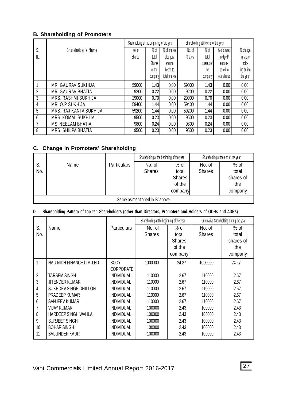#### **B. Shareholding of Promoters**

|                |                            | Shareholding at the beginning of the year |               |              |               | Shareholding at the end of the year |              |            |
|----------------|----------------------------|-------------------------------------------|---------------|--------------|---------------|-------------------------------------|--------------|------------|
| S.             | Shareholder's Name         | No. of                                    | $%$ of        | % of shares  | No. of        | $%$ of                              | % of shares  | % change   |
| No.            |                            | <b>Shares</b>                             | total         | pledged/     | <b>Shares</b> | total                               | pled ged/    | in share   |
|                |                            |                                           | <b>Shares</b> | encum-       |               | shares of                           | encum-       | hold-      |
|                |                            |                                           | of the        | bered to     |               | the                                 | bered to     | ing during |
|                |                            |                                           | company       | total shares |               | company                             | total shares | the year   |
|                | MR. GAURAV SUKHIJA         | 59000                                     | 1.43          | 0.00         | 59000         | 1.43                                | 0.00         | 0.00       |
|                | <b>MR. GAURAV BHATIA</b>   | 9200                                      | 0.22          | 0.00         | 9200          | 0.22                                | 0.00         | 0.00       |
| $\overline{3}$ | <b>MRS. RASHMI SUKHIJA</b> | 29000                                     | 0.70          | 0.00         | 29000         | 0.70                                | 0.00         | 0.00       |
| 4              | MR. O.P SUKHIJA            | 59400                                     | 1.44          | 0.00         | 59400         | 1.44                                | 0.00         | 0.00       |
| 5              | MRS. RAJ KANTA SUKHIJA     | 59200                                     | 1.44          | 0.00         | 59200         | 1.44                                | 0.00         | 0.00       |
| 6              | MRS. KOMAL SUKHIJA         | 9500                                      | 0.23          | 0.00         | 9500          | 0.23                                | 0.00         | 0.00       |
|                | <b>MS. NEELAM BHATIA</b>   | 9800                                      | 0.24          | 0.00         | 9800          | 0.24                                | 0.00         | 0.00       |
| 8              | MRS. SHILPA BHATIA         | 9500                                      | 0.23          | 0.00         | 9500          | 0.23                                | 0.00         | 0.00       |

# **C. Change in Promoters' Shareholding**

|     |                                |                    | Shareholding at the beginning of the year |               | Shareholding at the end of the year |           |  |  |  |  |
|-----|--------------------------------|--------------------|-------------------------------------------|---------------|-------------------------------------|-----------|--|--|--|--|
| S.  | Name                           | <b>Particulars</b> | No. of                                    | $%$ of        | No. of                              | $%$ of    |  |  |  |  |
| No. |                                |                    | <b>Shares</b>                             | total         | <b>Shares</b>                       | total     |  |  |  |  |
|     |                                |                    |                                           | <b>Shares</b> |                                     | shares of |  |  |  |  |
|     |                                |                    |                                           | of the        |                                     | the       |  |  |  |  |
|     |                                |                    |                                           | company       |                                     | company   |  |  |  |  |
|     | Same as mentioned in 'B' above |                    |                                           |               |                                     |           |  |  |  |  |

# **D. Shareholding Pattern of top ten Shareholders (other than Directors, Promoters and Holders of GDRs and ADRs)**

|                |                          |                    | Shareholding at the beginning of the year |               |               | Cumulative Shareholding during the year |
|----------------|--------------------------|--------------------|-------------------------------------------|---------------|---------------|-----------------------------------------|
| S.             | Name                     | <b>Particulars</b> | No. of                                    | $%$ of        | No. of        | % of                                    |
| No.            |                          |                    | <b>Shares</b>                             | total         | <b>Shares</b> | total                                   |
|                |                          |                    |                                           | <b>Shares</b> |               | shares of                               |
|                |                          |                    |                                           | of the        |               | the                                     |
|                |                          |                    |                                           | company       |               | company                                 |
|                | NAU NIDH FINANCE LIMITED | <b>BODY</b>        | 1000000                                   | 24.27         | 1000000       | 24.27                                   |
|                |                          | CORPORATE          |                                           |               |               |                                         |
| $\overline{2}$ | <b>TARSEM SINGH</b>      | <b>INDIVIDUAL</b>  | 110000                                    | 2.67          | 110000        | 2.67                                    |
| 3              | <b>JITENDER KUMAR</b>    | <b>INDIVIDUAL</b>  | 110000                                    | 2.67          | 110000        | 2.67                                    |
| 4              | SUKHDEV SINGH DHILLON    | <b>INDIVIDUAL</b>  | 110000                                    | 2.67          | 110000        | 2.67                                    |
| 5              | PRADEEP KUMAR            | <b>INDIVIDUAL</b>  | 110000                                    | 2.67          | 110000        | 2.67                                    |
| 6              | SANJEEV KUMAR            | INDIVIDUAL         | 110000                                    | 2.67          | 110000        | 2.67                                    |
|                | VIJAY KUMAR              | <b>INDIVIDUAL</b>  | 100000                                    | 2.43          | 100000        | 2.43                                    |
| 8              | HARDEEP SINGH WAHLA      | INDIVIDUAL         | 100000                                    | 2.43          | 100000        | 2.43                                    |
| 9              | SURJEET SINGH            | <b>INDIVIDUAL</b>  | 100000                                    | 2.43          | 100000        | 2.43                                    |
| 10             | <b>BOHAR SINGH</b>       | INDIVIDUAL         | 100000                                    | 2.43          | 100000        | 2.43                                    |
| 11             | <b>BALJINDER KAUR</b>    | <b>INDIVIDUAL</b>  | 100000                                    | 2.43          | 100000        | 2.43                                    |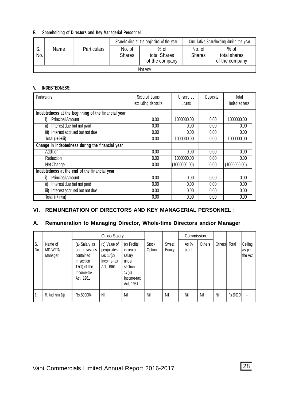#### **E. Shareholding of Directors and Key Managerial Personnel**

|                  |         |                    |                         | Shareholding at the beginning of the year | Cumulative Shareholding during the year |                                          |  |  |  |  |
|------------------|---------|--------------------|-------------------------|-------------------------------------------|-----------------------------------------|------------------------------------------|--|--|--|--|
| C<br>. J.<br>No. | Name    | <b>Particulars</b> | No. of<br><b>Shares</b> | $%$ of<br>total Shares<br>of the company  | No. of<br><b>Shares</b>                 | $%$ of<br>total shares<br>of the company |  |  |  |  |
|                  | Not Any |                    |                         |                                           |                                         |                                          |  |  |  |  |

#### **V. INDEBTEDNESS:**

| <b>Particulars</b>                                  | Secured Loans<br>excluding deposits | Unsecured<br>Loans | Deposits | Total<br>Indebtedness |
|-----------------------------------------------------|-------------------------------------|--------------------|----------|-----------------------|
| Indebtedness at the beginning of the financial year |                                     |                    |          |                       |
| <b>Principal Amount</b>                             | 0.00                                | 1000000.00         | 0.00     | 1000000.00            |
| Interest due but not paid<br>ii)                    | 0.00                                | 0.00               | 0.00     | 0.00                  |
| iii) Interest accrued but not due                   | 0.00                                | 0.00               | 0.00     | 0.00                  |
| Total (i+ii+iii)                                    | 0.00                                | 1000000.00         | 0.00     | 1000000.00            |
| Change in Indebtedness during the financial year    |                                     |                    |          |                       |
| Addition                                            | 0.00                                | 0.00               | 0.00     | 0.00                  |
| Reduction                                           | 0.00                                | 1000000.00         | 0.00     | 0.00                  |
| Net Change                                          | 0.00                                | (1000000.00)       | 0.00     | (1000000.00)          |
| Indebtedness at the end of the financial year       |                                     |                    |          |                       |
| <b>Principal Amount</b>                             | 0.00                                | 0.00               | 0.00     | 0.00                  |
| ii)<br>Interest due but not paid                    | 0.00                                | 0.00               | 0.00     | 0.00                  |
| iii) Interest accrued but not due                   | 0.00                                | 0.00               | 0.00     | 0.00                  |
| Total (i+ii+iii)                                    | 0.00                                | 0.00               | 0.00     | 0.00                  |

#### **VI. REMUNERATION OF DIRECTORS AND KEY MANAGERIAL PERSONNEL :**

#### **A. Remuneration to Managing Director, Whole-time Directors and/or Manager**

|           |                               | <b>Gross Salary</b>                                                                                     |                                                                       |                                                                                             |                        |                 | Commission     |        |              |            |                              |
|-----------|-------------------------------|---------------------------------------------------------------------------------------------------------|-----------------------------------------------------------------------|---------------------------------------------------------------------------------------------|------------------------|-----------------|----------------|--------|--------------|------------|------------------------------|
| S.<br>No. | Name of<br>MD/WTD/<br>Manager | (a) Salary as<br>per provisions<br>contained<br>in section<br>$17(1)$ of the<br>Income-tax<br>Act, 1961 | (b) Value of<br>perquisites<br>$u/s$ 17(2)<br>Income-tax<br>Act, 1961 | (c) Profits<br>in lieu of<br>salary<br>under<br>section<br>17(3)<br>Income-tax<br>Act. 1961 | <b>Stock</b><br>Option | Sweat<br>Equity | As %<br>profit | Others | Others Total |            | Ceiling<br>as per<br>the Act |
| 1.        | Mr. Divesh Kumar Bajaj        | Rs.80000/-                                                                                              | Nil                                                                   | Nil                                                                                         | Nil                    | Nil             | Nil            | Nil    | Nil          | Rs.80000/- |                              |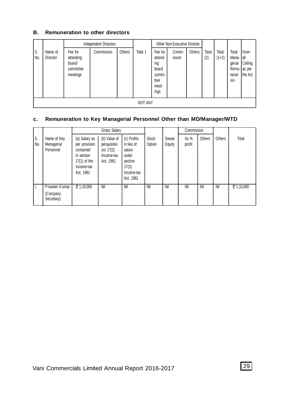#### **B. Remuneration to other directors**

|            | <b>Independent Directors</b> |                                                         |            |        | Other Non-Executive Director |                                                                       |                 |               |              |                  |                                                           |                                      |
|------------|------------------------------|---------------------------------------------------------|------------|--------|------------------------------|-----------------------------------------------------------------------|-----------------|---------------|--------------|------------------|-----------------------------------------------------------|--------------------------------------|
| ١s.<br>No. | Name of<br>Director          | Fee for<br>attending<br>board/<br>committee<br>meetings | Commission | Others | Total 1                      | Fee for<br>attend-<br>ing<br>board<br>commi-<br>ttee<br>meet-<br>ings | Comm-<br>ission | <b>Others</b> | Total<br>(2) | Total<br>$(1+2)$ | Total<br>Mana-<br>qerial<br>Remu- as per<br>nerat-<br>ion | Over-<br>l all<br>Ceiling<br>the Act |
|            | <b>NOT ANY</b>               |                                                         |            |        |                              |                                                                       |                 |               |              |                  |                                                           |                                      |

# **c. Remuneration to Key Managerial Personnel Other than MD/Manager/WTD**

|           |                                         |                                                                                                        | <b>Gross Salary</b>                                                   |                                                                                             |                        |                 | Commission     |        |        |            |
|-----------|-----------------------------------------|--------------------------------------------------------------------------------------------------------|-----------------------------------------------------------------------|---------------------------------------------------------------------------------------------|------------------------|-----------------|----------------|--------|--------|------------|
| S.<br>No. | Name of Key<br>Managerial<br>Personnel  | (a) Salary as<br>per provision<br>contained<br>in section<br>$17(1)$ of the<br>Income-tax<br>Act, 1961 | (b) Value of<br>perquisites<br>$u/s$ 17(2)<br>Income-tax<br>Act, 1961 | (c) Profits<br>in lieu of<br>salary<br>under<br>section<br>17(3)<br>Income-tax<br>Act. 1961 | <b>Stock</b><br>Option | Sweat<br>Equity | As %<br>profit | Others | Others | Total      |
| 1.        | Praveen Kumar<br>(Company<br>Secretary) | ₹ 1,10,000                                                                                             | Nil                                                                   | Nil                                                                                         | Nil                    | Nil             | Nil            | Nil    | Nil    | ₹ 1,10,000 |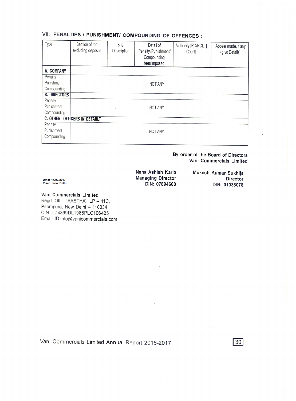# VII. PENALTIES / PUNISHMENT/ COMPOUNDING OF OFFENCES :

| Type                | Section of the<br>excluding deposits | <b>Brief</b><br>Description | Detail of<br>Penalty /Punishment/<br>Compounding<br>fees imposed | Authority [RD/NCLT]<br>Court] | Appeal made, if any<br>(give Details) |
|---------------------|--------------------------------------|-----------------------------|------------------------------------------------------------------|-------------------------------|---------------------------------------|
| A. COMPANY          |                                      |                             |                                                                  |                               |                                       |
| Penalty             |                                      |                             |                                                                  |                               |                                       |
| Punishment          |                                      |                             | <b>NOT ANY</b>                                                   |                               |                                       |
| Compounding         |                                      |                             |                                                                  |                               |                                       |
| <b>B. DIRECTORS</b> |                                      |                             |                                                                  |                               |                                       |
| Penalty             |                                      |                             |                                                                  |                               |                                       |
| Punishment          |                                      | $\mathbf{v}$                | <b>NOT ANY</b>                                                   |                               |                                       |
| Compounding         |                                      |                             |                                                                  |                               |                                       |
|                     | <b>C. OTHER OFFICERS IN DEFAULT</b>  |                             |                                                                  |                               |                                       |
| Penalty             |                                      |                             |                                                                  |                               |                                       |
| Punishment          |                                      |                             | <b>NOT ANY</b>                                                   |                               |                                       |
| Compounding         |                                      |                             |                                                                  |                               |                                       |

By order of the Board of Directors Vani Commercials Limited

Neha Ashish Karia **Managing Director** DIN: 07894660

Mukesh Kumar Sukhija Director DIN: 01038078

Date: 14/08/2017<br>Place: New Delhi

# Vani Commercials Limited

Regd. Off.: 'AASTHA', LP - 11C, Pitampura, New Delhi - 110034 CIN: L74899DL1988PLC106425 Email ID:info@vanicommercials.com

 $\mathcal{A}^{\pm}$ 

 $\mathcal{L}$ 

 $30$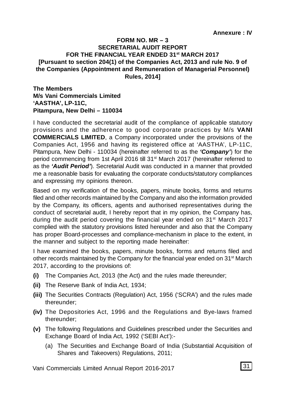#### **FORM NO. MR – 3 SECRETARIAL AUDIT REPORT FOR THE FINANCIAL YEAR ENDED 31st MARCH 2017 [Pursuant to section 204(1) of the Companies Act, 2013 and rule No. 9 of the Companies (Appointment and Remuneration of Managerial Personnel) Rules, 2014]**

**The Members M/s Vani Commercials Limited 'AASTHA', LP-11C, Pitampura, New Delhi – 110034**

I have conducted the secretarial audit of the compliance of applicable statutory provisions and the adherence to good corporate practices by M/s **VANI COMMERCIALS LIMITED**, a Company incorporated under the provisions of the Companies Act, 1956 and having its registered office at 'AASTHA', LP-11C, Pitampura, New Delhi - 110034 (hereinafter referred to as the *'Company'*) for the period commencing from 1st April 2016 till 31<sup>st</sup> March 2017 (hereinafter referred to as the *'Audit Period'*). Secretarial Audit was conducted in a manner that provided me a reasonable basis for evaluating the corporate conducts/statutory compliances and expressing my opinions thereon.

Based on my verification of the books, papers, minute books, forms and returns filed and other records maintained by the Company and also the information provided by the Company, its officers, agents and authorised representatives during the conduct of secretarial audit, I hereby report that in my opinion, the Company has, during the audit period covering the financial year ended on  $31<sup>st</sup>$  March 2017 complied with the statutory provisions listed hereunder and also that the Company has proper Board-processes and compliance-mechanism in place to the extent, in the manner and subject to the reporting made hereinafter:

I have examined the books, papers, minute books, forms and returns filed and other records maintained by the Company for the financial year ended on 31<sup>st</sup> March 2017, according to the provisions of:

- **(i)** The Companies Act, 2013 (the Act) and the rules made thereunder;
- **(ii)** The Reserve Bank of India Act, 1934;
- **(iii)** The Securities Contracts (Regulation) Act, 1956 ('SCRA') and the rules made thereunder;
- **(iv)** The Depositories Act, 1996 and the Regulations and Bye-laws framed thereunder;
- **(v)** The following Regulations and Guidelines prescribed under the Securities and Exchange Board of India Act, 1992 ('SEBI Act'):-
	- (a) The Securities and Exchange Board of India (Substantial Acquisition of Shares and Takeovers) Regulations, 2011;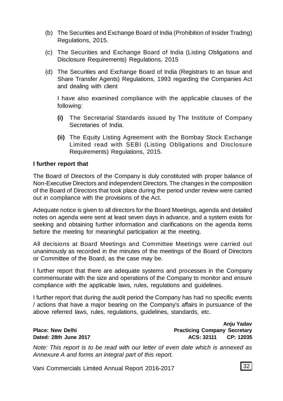- (b) The Securities and Exchange Board of India (Prohibition of Insider Trading) Regulations, 2015.
- (c) The Securities and Exchange Board of India (Listing Obligations and Disclosure Requirements) Regulations, 2015
- (d) The Securities and Exchange Board of India (Registrars to an Issue and Share Transfer Agents) Regulations, 1993 regarding the Companies Act and dealing with client

I have also examined compliance with the applicable clauses of the following:

- **(i)** The Secretarial Standards issued by The Institute of Company Secretaries of India.
- **(ii)** The Equity Listing Agreement with the Bombay Stock Exchange Limited read with SEBI (Listing Obligations and Disclosure Requirements) Regulations, 2015.

#### **I further report that**

The Board of Directors of the Company is duly constituted with proper balance of Non-Executive Directors and independent Directors. The changes in the composition of the Board of Directors that took place during the period under review were carried out in compliance with the provisions of the Act.

Adequate notice is given to all directors for the Board Meetings, agenda and detailed notes on agenda were sent at least seven days in advance, and a system exists for seeking and obtaining further information and clarifications on the agenda items before the meeting for meaningful participation at the meeting.

All decisions at Board Meetings and Committee Meetings were carried out unanimously as recorded in the minutes of the meetings of the Board of Directors or Committee of the Board, as the case may be.

I further report that there are adequate systems and processes in the Company commensurate with the size and operations of the Company to monitor and ensure compliance with the applicable laws, rules, regulations and guidelines.

I further report that during the audit period the Company has had no specific events / actions that have a major bearing on the Company's affairs in pursuance of the above referred laws, rules, regulations, guidelines, standards, etc.

|                         | Aliju Tauav                         |
|-------------------------|-------------------------------------|
| <b>Place: New Delhi</b> | <b>Practicing Company Secretary</b> |
| Dated: 28th June 2017   | CP: 12035<br>ACS: 32111             |

*Note: This report is to be read with our letter of even date which is annexed as Annexure A and forms an integral part of this report.*

Vani Commercials Limited Annual Report 2016-2017

**Anju Yadav**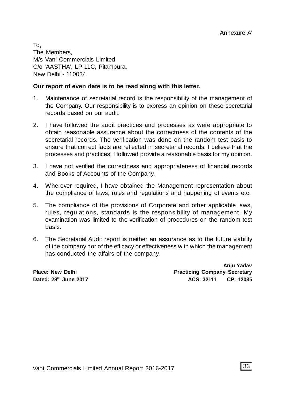To, The Members, M/s Vani Commercials Limited C/o 'AASTHA', LP-11C, Pitampura, New Delhi - 110034

#### **Our report of even date is to be read along with this letter.**

- 1. Maintenance of secretarial record is the responsibility of the management of the Company. Our responsibility is to express an opinion on these secretarial records based on our audit.
- 2. I have followed the audit practices and processes as were appropriate to obtain reasonable assurance about the correctness of the contents of the secretarial records. The verification was done on the random test basis to ensure that correct facts are reflected in secretarial records. I believe that the processes and practices, I followed provide a reasonable basis for my opinion.
- 3. I have not verified the correctness and appropriateness of financial records and Books of Accounts of the Company.
- 4. Wherever required, I have obtained the Management representation about the compliance of laws, rules and regulations and happening of events etc.
- 5. The compliance of the provisions of Corporate and other applicable laws, rules, regulations, standards is the responsibility of management. My examination was limited to the verification of procedures on the random test basis.
- 6. The Secretarial Audit report is neither an assurance as to the future viability of the company nor of the efficacy or effectiveness with which the management has conducted the affairs of the company.

**Anju Yadav Place: New Delhi Practicing Company Secretary Dated: 28th June 2017 ACS: 32111 CP: 12035**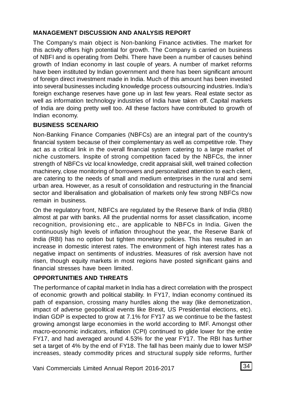# **MANAGEMENT DISCUSSION AND ANALYSIS REPORT**

The Company's main object is Non-banking Finance activities. The market for this activity offers high potential for growth. The Company is carried on business of NBFI and is operating from Delhi. There have been a number of causes behind growth of Indian economy in last couple of years. A number of market reforms have been instituted by Indian government and there has been significant amount of foreign direct investment made in India. Much of this amount has been invested into several businesses including knowledge process outsourcing industries. India's foreign exchange reserves have gone up in last few years. Real estate sector as well as information technology industries of India have taken off. Capital markets of India are doing pretty well too. All these factors have contributed to growth of Indian economy.

# **BUSINESS SCENARIO**

Non-Banking Finance Companies (NBFCs) are an integral part of the country's financial system because of their complementary as well as competitive role. They act as a critical link in the overall financial system catering to a large market of niche customers. Inspite of strong competition faced by the NBFCs, the inner strength of NBFCs viz local knowledge, credit appraisal skill, well trained collection machinery, close monitoring of borrowers and personalized attention to each client, are catering to the needs of small and medium enterprises in the rural and semi urban area. However, as a result of consolidation and restructuring in the financial sector and liberalisation and globalisation of markets only few strong NBFCs now remain in business.

On the regulatory front, NBFCs are regulated by the Reserve Bank of India (RBI) almost at par with banks. All the prudential norms for asset classification, income recognition, provisioning etc., are applicable to NBFCs in India. Given the continuously high levels of inflation throughout the year, the Reserve Bank of India (RBI) has no option but tighten monetary policies. This has resulted in an increase in domestic interest rates. The environment of high interest rates has a negative impact on sentiments of industries. Measures of risk aversion have not risen, though equity markets in most regions have posted significant gains and financial stresses have been limited.

# **OPPORTUNITIES AND THREATS**

The performance of capital market in India has a direct correlation with the prospect of economic growth and political stability. In FY17, Indian economy continued its path of expansion, crossing many hurdles along the way (like demonetization, impact of adverse geopolitical events like Brexit, US Presidential elections, etc). Indian GDP is expected to grow at 7.1% for FY17 as we continue to be the fastest growing amongst large economies in the world according to IMF. Amongst other macro-economic indicators, inflation (CPI) continued to glide lower for the entire FY17, and had averaged around 4.53% for the year FY17. The RBI has further set a target of 4% by the end of FY18. The fall has been mainly due to lower MSP increases, steady commodity prices and structural supply side reforms, further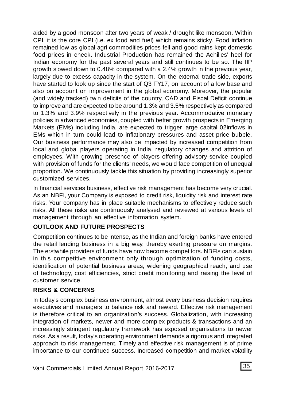aided by a good monsoon after two years of weak / drought like monsoon. Within CPI, it is the core CPI (i.e. ex food and fuel) which remains sticky. Food inflation remained low as global agri commodities prices fell and good rains kept domestic food prices in check. Industrial Production has remained the Achilles' heel for Indian economy for the past several years and still continues to be so. The IIP growth slowed down to 0.48% compared with a 2.4% growth in the previous year, largely due to excess capacity in the system. On the external trade side, exports have started to look up since the start of Q3 FY17, on account of a low base and also on account on improvement in the global economy. Moreover, the popular (and widely tracked) twin deficits of the country, CAD and Fiscal Deficit continue to improve and are expected to be around 1.3% and 3.5% respectively as compared to 1.3% and 3.9% respectively in the previous year. Accommodative monetary policies in advanced economies, coupled with better growth prospects in Emerging Markets (EMs) including India, are expected to trigger large capital 02inflows in EMs which in turn could lead to inflationary pressures and asset price bubble. Our business performance may also be impacted by increased competition from local and global players operating in India, regulatory changes and attrition of employees. With growing presence of players offering advisory service coupled with provision of funds for the clients' needs, we would face competition of unequal proportion. We continuously tackle this situation by providing increasingly superior customized services.

In financial services business, effective risk management has become very crucial. As an NBFI, your Company is exposed to credit risk, liquidity risk and interest rate risks. Your company has in place suitable mechanisms to effectively reduce such risks. All these risks are continuously analysed and reviewed at various levels of management through an effective information system.

### **OUTLOOK AND FUTURE PROSPECTS**

Competition continues to be intense, as the Indian and foreign banks have entered the retail lending business in a big way, thereby exerting pressure on margins. The erstwhile providers of funds have now become competitors. NBFIs can sustain in this competitive environment only through optimization of funding costs, identification of potential business areas, widening geographical reach, and use of technology, cost efficiencies, strict credit monitoring and raising the level of customer service.

### **RISKS & CONCERNS**

In today's complex business environment, almost every business decision requires executives and managers to balance risk and reward. Effective risk management is therefore critical to an organization's success. Globalization, with increasing integration of markets, newer and more complex products & transactions and an increasingly stringent regulatory framework has exposed organisations to newer risks. As a result, today's operating environment demands a rigorous and integrated approach to risk management. Timely and effective risk management is of prime importance to our continued success. Increased competition and market volatility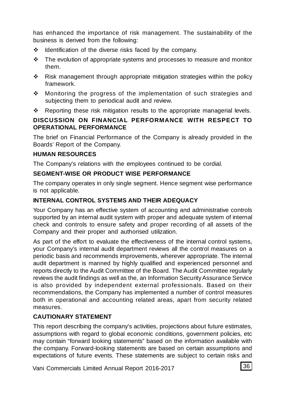has enhanced the importance of risk management. The sustainability of the business is derived from the following:

- $\div$  Identification of the diverse risks faced by the company.
- $\cdot \cdot$  The evolution of appropriate systems and processes to measure and monitor them.
- Risk management through appropriate mitigation strategies within the policy framework.
- $\div$  Monitoring the progress of the implementation of such strategies and subjecting them to periodical audit and review.
- Reporting these risk mitigation results to the appropriate managerial levels.

# **DISCUSSION ON FINANCIAL PERFORMANCE WITH RESPECT TO OPERATIONAL PERFORMANCE**

The brief on Financial Performance of the Company is already provided in the Boards' Report of the Company.

#### **HUMAN RESOURCES**

The Company's relations with the employees continued to be cordial.

#### **SEGMENT-WISE OR PRODUCT WISE PERFORMANCE**

The company operates in only single segment. Hence segment wise performance is not applicable.

### **INTERNAL CONTROL SYSTEMS AND THEIR ADEQUACY**

Your Company has an effective system of accounting and administrative controls supported by an internal audit system with proper and adequate system of internal check and controls to ensure safety and proper recording of all assets of the Company and their proper and authorised utilization.

As part of the effort to evaluate the effectiveness of the internal control systems, your Company's internal audit department reviews all the control measures on a periodic basis and recommends improvements, wherever appropriate. The internal audit department is manned by highly qualified and experienced personnel and reports directly to the Audit Committee of the Board. The Audit Committee regularly reviews the audit findings as well as the, an Information Security Assurance Service is also provided by independent external professionals. Based on their recommendations, the Company has implemented a number of control measures both in operational and accounting related areas, apart from security related measures.

### **CAUTIONARY STATEMENT**

This report describing the company's activities, projections about future estimates, assumptions with regard to global economic conditions, government policies, etc may contain "forward looking statements" based on the information available with the company. Forward-looking statements are based on certain assumptions and expectations of future events. These statements are subject to certain risks and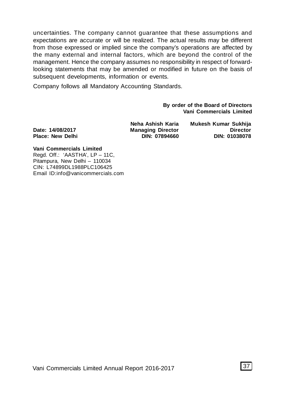uncertainties. The company cannot guarantee that these assumptions and expectations are accurate or will be realized. The actual results may be different from those expressed or implied since the company's operations are affected by the many external and internal factors, which are beyond the control of the management. Hence the company assumes no responsibility in respect of forwardlooking statements that may be amended or modified in future on the basis of subsequent developments, information or events.

Company follows all Mandatory Accounting Standards.

**By order of the Board of Directors Vani Commercials Limited**

Date: 14/08/2017 **Managing Director** 

**Neha Ashish Karia Mukesh Kumar Sukhija Place: New Delhi DIN: 07894660 DIN: 01038078**

**Vani Commercials Limited** Regd. Off.: 'AASTHA', LP – 11C, Pitampura, New Delhi – 110034 CIN: L74899DL1988PLC106425 Email ID:info@vanicommercials.com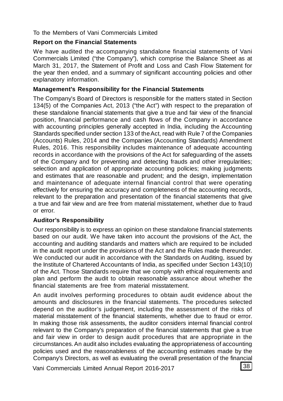#### To the Members of Vani Commercials Limited

#### **Report on the Financial Statements**

We have audited the accompanying standalone financial statements of Vani Commercials Limited ("the Company"), which comprise the Balance Sheet as at March 31, 2017, the Statement of Profit and Loss and Cash Flow Statement for the year then ended, and a summary of significant accounting policies and other explanatory information.

#### **Management's Responsibility for the Financial Statements**

The Company's Board of Directors is responsible for the matters stated in Section 134(5) of the Companies Act, 2013 ("the Act") with respect to the preparation of these standalone financial statements that give a true and fair view of the financial position, financial performance and cash flows of the Company in accordance with accounting principles generally accepted in India, including the Accounting Standards specified under section 133 of the Act, read with Rule 7 of the Companies (Accounts) Rules, 2014 and the Companies (Accounting Standards) Amendment Rules, 2016. This responsibility includes maintenance of adequate accounting records in accordance with the provisions of the Act for safeguarding of the assets of the Company and for preventing and detecting frauds and other irregularities; selection and application of appropriate accounting policies; making judgments and estimates that are reasonable and prudent; and the design, implementation and maintenance of adequate internal financial control that were operating effectively for ensuring the accuracy and completeness of the accounting records, relevant to the preparation and presentation of the financial statements that give a true and fair view and are free from material misstatement, whether due to fraud or error.

### **Auditor's Responsibility**

Our responsibility is to express an opinion on these standalone financial statements based on our audit. We have taken into account the provisions of the Act, the accounting and auditing standards and matters which are required to be included in the audit report under the provisions of the Act and the Rules made thereunder. We conducted our audit in accordance with the Standards on Auditing, issued by the Institute of Chartered Accountants of India, as specified under Section 143(10) of the Act. Those Standards require that we comply with ethical requirements and plan and perform the audit to obtain reasonable assurance about whether the financial statements are free from material misstatement.

An audit involves performing procedures to obtain audit evidence about the amounts and disclosures in the financial statements. The procedures selected depend on the auditor's judgement, including the assessment of the risks of material misstatement of the financial statements, whether due to fraud or error. In making those risk assessments, the auditor considers internal financial control relevant to the Company's preparation of the financial statements that give a true and fair view in order to design audit procedures that are appropriate in the circumstances. An audit also includes evaluating the appropriateness of accounting policies used and the reasonableness of the accounting estimates made by the Company's Directors, as well as evaluating the overall presentation of the financial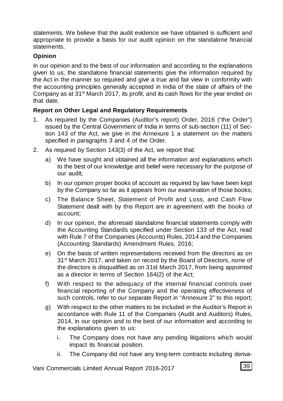statements. We believe that the audit evidence we have obtained is sufficient and appropriate to provide a basis for our audit opinion on the standalone financial statements.

# **Opinion**

In our opinion and to the best of our information and according to the explanations given to us, the standalone financial statements give the information required by the Act in the manner so required and give a true and fair view in conformity with the accounting principles generally accepted in India of the state of affairs of the Company as at  $31<sup>st</sup>$  March 2017, its profit, and its cash flows for the year ended on that date.

# **Report on Other Legal and Regulatory Requirements**

- 1. As required by the Companies (Auditor's report) Order, 2016 ("the Order") issued by the Central Government of India in terms of sub-section (11) of Section 143 of the Act, we give in the Annexure 1 a statement on the matters specified in paragraphs 3 and 4 of the Order.
- 2. As required by Section 143(3) of the Act, we report that:
	- a) We have sought and obtained all the information and explanations which to the best of our knowledge and belief were necessary for the purpose of our audit;
	- b) In our opinion proper books of account as required by law have been kept by the Company so far as it appears from our examination of those books;
	- c) The Balance Sheet, Statement of Profit and Loss, and Cash Flow Statement dealt with by this Report are in agreement with the books of account;
	- d) In our opinion, the aforesaid standalone financial statements comply with the Accounting Standards specified under Section 133 of the Act, read with Rule 7 of the Companies (Accounts) Rules, 2014 and the Companies (Accounting Standards) Amendment Rules, 2016;
	- e) On the basis of written representations received from the directors as on 31<sup>st</sup> March 2017, and taken on record by the Board of Directors, none of the directors is disqualified as on 31st March 2017, from being appointed as a director in terms of Section 164(2) of the Act;
	- f) With respect to the adequacy of the internal financial controls over financial reporting of the Company and the operating effectiveness of such controls, refer to our separate Report in "Annexure 2" to this report;
	- g) With respect to the other matters to be included in the Auditor's Report in accordance with Rule 11 of the Companies (Audit and Auditors) Rules, 2014, in our opinion and to the best of our information and according to the explanations given to us:
		- i. The Company does not have any pending litigations which would impact its financial position.
		- ii. The Company did not have any long-term contracts including deriva-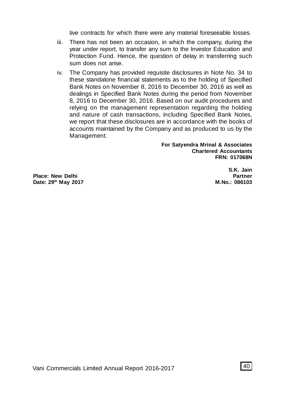tive contracts for which there were any material foreseeable losses.

- iii. There has not been an occasion, in which the company, during the year under report, to transfer any sum to the Investor Education and Protection Fund. Hence, the question of delay in transferring such sum does not arise.
- iv. The Company has provided requisite disclosures in Note No. 34 to these standalone financial statements as to the holding of Specified Bank Notes on November 8, 2016 to December 30, 2016 as well as dealings in Specified Bank Notes during the period from November 8, 2016 to December 30, 2016. Based on our audit procedures and relying on the management representation regarding the holding and nature of cash transactions, including Specified Bank Notes, we report that these disclosures are in accordance with the books of accounts maintained by the Company and as produced to us by the Management.

**For Satyendra Mrinal & Associates Chartered Accountants FRN: 017068N**

Place: New Delhi **Place:** New Delhi **Partner**<br>
Partner 19<sup>th</sup> May 2017  $Data: 29<sup>th</sup>$  May 2017

**S.K. Jain**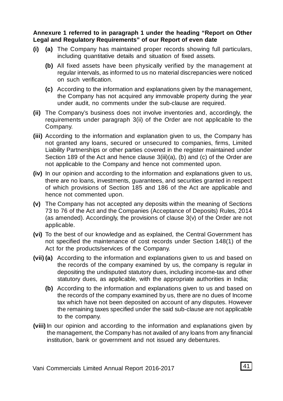**Annexure 1 referred to in paragraph 1 under the heading "Report on Other Legal and Regulatory Requirements" of our Report of even date**

- **(i) (a)** The Company has maintained proper records showing full particulars, including quantitative details and situation of fixed assets.
	- **(b)** All fixed assets have been physically verified by the management at regular intervals, as informed to us no material discrepancies were noticed on such verification.
	- **(c)** According to the information and explanations given by the management, the Company has not acquired any immovable property during the year under audit, no comments under the sub-clause are required.
- **(ii)** The Company's business does not involve inventories and, accordingly, the requirements under paragraph 3(ii) of the Order are not applicable to the Company.
- **(iii)** According to the information and explanation given to us, the Company has not granted any loans, secured or unsecured to companies, firms, Limited Liability Partnerships or other parties covered in the register maintained under Section 189 of the Act and hence clause 3(iii)(a), (b) and (c) of the Order are not applicable to the Company and hence not commented upon.
- **(iv)** In our opinion and according to the information and explanations given to us, there are no loans, investments, guarantees, and securities granted in respect of which provisions of Section 185 and 186 of the Act are applicable and hence not commented upon.
- **(v)** The Company has not accepted any deposits within the meaning of Sections 73 to 76 of the Act and the Companies (Acceptance of Deposits) Rules, 2014 (as amended). Accordingly, the provisions of clause 3(v) of the Order are not applicable.
- **(vi)** To the best of our knowledge and as explained, the Central Government has not specified the maintenance of cost records under Section 148(1) of the Act for the products/services of the Company.
- **(vii) (a)** According to the information and explanations given to us and based on the records of the company examined by us, the company is regular in depositing the undisputed statutory dues, including income-tax and other statutory dues, as applicable, with the appropriate authorities in India;
	- **(b)** According to the information and explanations given to us and based on the records of the company examined by us, there are no dues of Income tax which have not been deposited on account of any disputes. However the remaining taxes specified under the said sub-clause are not applicable to the company.
- **(viii)** In our opinion and according to the information and explanations given by the management, the Company has not availed of any loans from any financial institution, bank or government and not issued any debentures.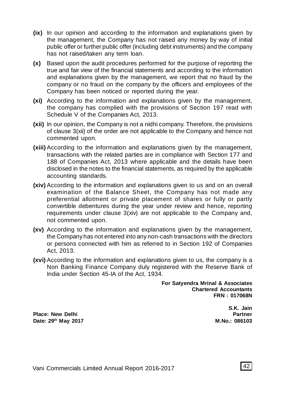- **(ix)** In our opinion and according to the information and explanations given by the management, the Company has not raised any money by way of initial public offer or further public offer (including debt instruments) and the company has not raised/taken any term loan.
- **(x)** Based upon the audit procedures performed for the purpose of reporting the true and fair view of the financial statements and according to the information and explanations given by the management, we report that no fraud by the company or no fraud on the company by the officers and employees of the Company has been noticed or reported during the year.
- **(xi)** According to the information and explanations given by the management, the company has complied with the provisions of Section 197 read with Schedule V of the Companies Act, 2013.
- **(xii)** In our opinion, the Company is not a nidhi company. Therefore, the provisions of clause 3(xii) of the order are not applicable to the Company and hence not commented upon.
- **(xiii)** According to the information and explanations given by the management, transactions with the related parties are in compliance with Section 177 and 188 of Companies Act, 2013 where applicable and the details have been disclosed in the notes to the financial statements, as required by the applicable accounting standards.
- **(xiv)** According to the information and explanations given to us and on an overall examination of the Balance Sheet, the Company has not made any preferential allotment or private placement of shares or fully or partly convertible debentures during the year under review and hence, reporting requirements under clause  $3(xiv)$  are not applicable to the Company and, not commented upon.
- **(xv)** According to the information and explanations given by the management, the Company has not entered into any non-cash transactions with the directors or persons connected with him as referred to in Section 192 of Companies Act, 2013.
- **(xvi)** According to the information and explanations given to us, the company is a Non Banking Finance Company duly registered with the Reserve Bank of India under Section 45-IA of the Act, 1934.

**For Satyendra Mrinal & Associates Chartered Accountants FRN : 017068N**

Place: New Delhi **Place: New Delhi Partner**<br>
Date: 29<sup>th</sup> May 2017  $Date: 29<sup>th</sup> May 2017$ 

**S.K. Jain**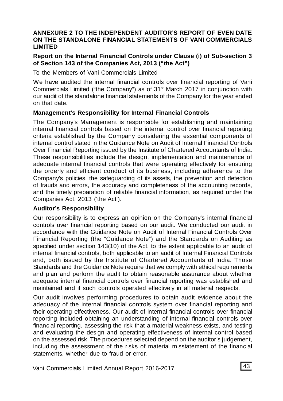#### **ANNEXURE 2 TO THE INDEPENDENT AUDITOR'S REPORT OF EVEN DATE ON THE STANDALONE FINANCIAL STATEMENTS OF VANI COMMERCIALS LIMITED**

#### **Report on the Internal Financial Controls under Clause (i) of Sub-section 3 of Section 143 of the Companies Act, 2013 ("the Act")**

To the Members of Vani Commercials Limited

We have audited the internal financial controls over financial reporting of Vani Commercials Limited ("the Company") as of 31<sup>st</sup> March 2017 in conjunction with our audit of the standalone financial statements of the Company for the year ended on that date.

#### **Management's Responsibility for Internal Financial Controls**

The Company's Management is responsible for establishing and maintaining internal financial controls based on the internal control over financial reporting criteria established by the Company considering the essential components of internal control stated in the Guidance Note on Audit of Internal Financial Controls Over Financial Reporting issued by the Institute of Chartered Accountants of India. These responsibilities include the design, implementation and maintenance of adequate internal financial controls that were operating effectively for ensuring the orderly and efficient conduct of its business, including adherence to the Company's policies, the safeguarding of its assets, the prevention and detection of frauds and errors, the accuracy and completeness of the accounting records, and the timely preparation of reliable financial information, as required under the Companies Act, 2013 ('the Act').

#### **Auditor's Responsibility**

Our responsibility is to express an opinion on the Company's internal financial controls over financial reporting based on our audit. We conducted our audit in accordance with the Guidance Note on Audit of Internal Financial Controls Over Financial Reporting (the "Guidance Note") and the Standards on Auditing as specified under section 143(10) of the Act, to the extent applicable to an audit of internal financial controls, both applicable to an audit of Internal Financial Controls and, both issued by the Institute of Chartered Accountants of India. Those Standards and the Guidance Note require that we comply with ethical requirements and plan and perform the audit to obtain reasonable assurance about whether adequate internal financial controls over financial reporting was established and maintained and if such controls operated effectively in all material respects.

Our audit involves performing procedures to obtain audit evidence about the adequacy of the internal financial controls system over financial reporting and their operating effectiveness. Our audit of internal financial controls over financial reporting included obtaining an understanding of internal financial controls over financial reporting, assessing the risk that a material weakness exists, and testing and evaluating the design and operating effectiveness of internal control based on the assessed risk. The procedures selected depend on the auditor's judgement, including the assessment of the risks of material misstatement of the financial statements, whether due to fraud or error.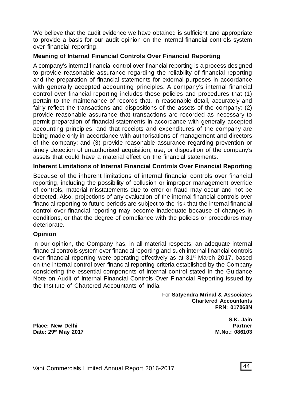We believe that the audit evidence we have obtained is sufficient and appropriate to provide a basis for our audit opinion on the internal financial controls system over financial reporting.

#### **Meaning of Internal Financial Controls Over Financial Reporting**

A company's internal financial control over financial reporting is a process designed to provide reasonable assurance regarding the reliability of financial reporting and the preparation of financial statements for external purposes in accordance with generally accepted accounting principles. A company's internal financial control over financial reporting includes those policies and procedures that (1) pertain to the maintenance of records that, in reasonable detail, accurately and fairly reflect the transactions and dispositions of the assets of the company; (2) provide reasonable assurance that transactions are recorded as necessary to permit preparation of financial statements in accordance with generally accepted accounting principles, and that receipts and expenditures of the company are being made only in accordance with authorisations of management and directors of the company; and (3) provide reasonable assurance regarding prevention or timely detection of unauthorised acquisition, use, or disposition of the company's assets that could have a material effect on the financial statements.

#### **Inherent Limitations of Internal Financial Controls Over Financial Reporting**

Because of the inherent limitations of internal financial controls over financial reporting, including the possibility of collusion or improper management override of controls, material misstatements due to error or fraud may occur and not be detected. Also, projections of any evaluation of the internal financial controls over financial reporting to future periods are subject to the risk that the internal financial control over financial reporting may become inadequate because of changes in conditions, or that the degree of compliance with the policies or procedures may deteriorate.

#### **Opinion**

In our opinion, the Company has, in all material respects, an adequate internal financial controls system over financial reporting and such internal financial controls over financial reporting were operating effectively as at 31<sup>st</sup> March 2017, based on the internal control over financial reporting criteria established by the Company considering the essential components of internal control stated in the Guidance Note on Audit of Internal Financial Controls Over Financial Reporting issued by the Institute of Chartered Accountants of India.

> For **Satyendra Mrinal & Associates Chartered Accountants FRN: 017068N**

Place: New Delhi **Place: New Delhi** Partner<br>
Date: 29<sup>th</sup> May 2017  $Data: 29<sup>th</sup> May 2017$ 

**S.K. Jain**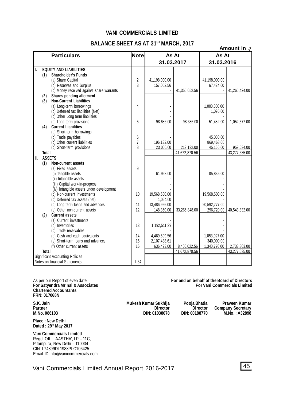#### **VANI COMMERCIALS LIMITED**

#### **BALANCE SHEET AS AT 31ST MARCH, 2017**

|     |              |                                                     |                     | 02 JULLIAJAI JI MARUU, 2017 |               | Amount in $\bar{z}$     |               |  |
|-----|--------------|-----------------------------------------------------|---------------------|-----------------------------|---------------|-------------------------|---------------|--|
|     |              | <b>Particulars</b>                                  | Note                | As At                       |               | As At                   |               |  |
|     |              |                                                     |                     | 31.03.2017                  |               | 31.03.2016              |               |  |
| lı. |              | <b>EQUITY AND LIABILITIES</b>                       |                     |                             |               |                         |               |  |
|     | (1)          | <b>Shareholder's Funds</b>                          |                     |                             |               |                         |               |  |
|     |              | (a) Share Capital                                   | $\overline{2}$      | 41,198,000.00               |               | 41,198,000.00           |               |  |
|     |              | (b) Reserves and Surplus                            | 3                   | 157,052.56                  |               | 67,424.00               |               |  |
|     |              | (c) Money received against share warrants           |                     |                             | 41,355,052.56 |                         | 41,265,424.00 |  |
|     | (2)          | Shares pending allotment                            |                     |                             |               |                         |               |  |
|     | (3)          | <b>Non-Current Liabilities</b>                      |                     |                             |               |                         |               |  |
|     |              | (a) Long-term borrowings                            | 4                   |                             |               | 1,000,000.00            |               |  |
|     |              | (b) Deferred tax liabilities (Net)                  |                     |                             |               | 1,095.00                |               |  |
|     |              | (c) Other Long term liabilities                     |                     |                             |               |                         |               |  |
|     |              | (d) Long term provisions                            | 5                   | 98,686.00                   | 98.686.00     | 51,482.00               | 1,052,577.00  |  |
|     | (4)          | <b>Current Liabilities</b>                          |                     |                             |               |                         |               |  |
|     |              | (a) Short-term borrowings                           |                     |                             |               |                         |               |  |
|     |              | (b) Trade payables<br>(c) Other current liabilities | 6<br>$\overline{1}$ |                             |               | 45.000.00               |               |  |
|     |              | (d) Short-term provisions                           | 8                   | 196,132.00<br>23,000.00     | 219,132.00    | 869,468.00<br>45,166.00 | 959,634.00    |  |
|     | <b>Total</b> |                                                     |                     |                             | 41,672,870.56 |                         | 43,277,635.00 |  |
| II. |              | <b>ASSETS</b>                                       |                     |                             |               |                         |               |  |
|     | (1)          | <b>Non-current assets</b>                           |                     |                             |               |                         |               |  |
|     |              | (a) Fixed assets                                    | 9                   |                             |               |                         |               |  |
|     |              | (i) Tangible assets                                 |                     | 61,968.00                   |               | 85,835.00               |               |  |
|     |              | (ii) Intangible assets                              |                     |                             |               |                         |               |  |
|     |              | (iii) Capital work-in-progress                      |                     |                             |               |                         |               |  |
|     |              | (iv) Intangible assets under development            |                     |                             |               |                         |               |  |
|     |              | (b) Non-current investments                         | 10                  | 19,568,500.00               |               | 19,568,500.00           |               |  |
|     |              | (c) Deferred tax assets (net)                       |                     | 1.064.00                    |               |                         |               |  |
|     |              | (d) Long term loans and advances                    | 11                  | 13,486,956.00               |               | 20,592,777.00           |               |  |
|     |              | (e) Other non-current assets                        | 12                  | 148,360.00                  | 33,266,848.00 | 296,720.00              | 40,543,832.00 |  |
|     | (2)          | <b>Current assets</b>                               |                     |                             |               |                         |               |  |
|     |              | (a) Current investments                             |                     |                             |               |                         |               |  |
|     |              | (b) Inventories                                     | 13                  | 1,192,511.39                |               |                         |               |  |
|     |              | (c) Trade receivables                               |                     |                             |               |                         |               |  |
|     |              | (d) Cash and cash equivalents                       | 14                  | 4,469,599.56                |               | 1.053.027.00            |               |  |
|     |              | (e) Short-term loans and advances                   | 15                  | 2,107,488.61                |               | 340,000.00              |               |  |
|     |              | (f) Other current assets                            | 16                  | 636.423.00                  | 8,406,022.56  | 1.340.776.00            | 2,733,803.00  |  |
|     | <b>Total</b> |                                                     |                     |                             | 41,672,870.56 |                         | 43,277,635.00 |  |
|     |              | <b>Significant Accounting Policies</b>              |                     |                             |               |                         |               |  |
|     |              | Notes on financial Statements                       | $1 - 34$            |                             |               |                         |               |  |

As per our Report of even date **For and on behalf of the Board of Directors For Satyendra Mrinal & Associates Chartered Accountants FRN: 017068N**

**Place : New Delhi Dated : 29th May 2017**

**Vani Commercials Limited** Regd. Off.: 'AASTHA', LP – 11C, Pitampura, New Delhi – 110034 CIN: L74899DL1988PLC106425 Email ID:info@vanicommercials.com

**S.K. Jain Mukesh Kumar Sukhija Pooja Bhatia Praveen Kumar Partner Director Director Director Director Company Secretary**<br> **Director Director Company Secretary**<br> **DIN: 01038078 DIN: 00188770 M.No.: A32898 M.No. 086103 DIN: 01038078 DIN: 00188770 M.No. : A32898**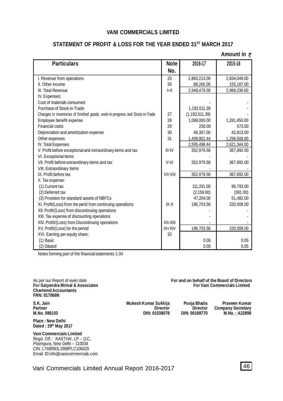#### **VANI COMMERCIALS LIMITED**

#### **STATEMENT OF PROFIT & LOSS FOR THE YEAR ENDED 31ST MARCH 2017**

#### **Amount in**

| <b>Particulars</b>                                                            | <b>Note</b> | 2016-17          | 2015-16      |
|-------------------------------------------------------------------------------|-------------|------------------|--------------|
|                                                                               | No.         |                  |              |
| I. Revenue from operations                                                    | 25          | 2,860,213.00     | 2,834,049.00 |
| II. Other Income                                                              | 26          | 88.265.00        | 155,187.00   |
| III. Total Revenue                                                            | $ +  $      | 2,948,478.00     | 2,989,236.00 |
| IV. Expenses:                                                                 |             |                  |              |
| Cost of materials consumed                                                    |             |                  |              |
| Purchase of Stock-in-Trade                                                    |             | 1,192,511.39     |              |
| Changes in inventories of finished goods, work-in-progress and Stock-in-Trade | 27          | (1, 192, 511.39) |              |
| Employee benefit expense                                                      | 28          | 1,088,000.00     | 1,281,450.00 |
| <b>Financial costs</b>                                                        | 29          | 230.00           | 573.00       |
| Depreciation and amortization expense                                         | 30          | 48.367.00        | 42.813.00    |
| Other expenses                                                                | 31          | 1,458,901.44     | 1,296,508.00 |
| IV. Total Expenses                                                            |             | 2,595,498.44     | 2,621,344.00 |
| V. Profit before exceptional and extraordinary items and tax                  | III-IV      | 352,979.56       | 367,892.00   |
| VI. Exceptional Items                                                         |             |                  |              |
| VII. Profit before extraordinary items and tax                                | $V-VI$      | 352,979.56       | 367,892.00   |
| VIII. Extraordinary Items                                                     |             |                  |              |
| IX. Profit before tax                                                         | VII-VIII    | 352,979.56       | 367,892.00   |
| X. Tax expense:                                                               |             |                  |              |
| (1) Current tax                                                               |             | 111,231.00       | 96,793.00    |
| (2) Deferred tax                                                              |             | (2, 159.00)      | (391.00)     |
| (3) Provision for standard assets of NBFCs                                    |             | 47,204.00        | 51,482.00    |
| XI. Profit(Loss) from the perid from continuing operations                    | $IX-X$      | 196,703.56       | 220,008.00   |
| XII. Profit/(Loss) from discontinuing operations                              |             |                  |              |
| XIII. Tax expense of discounting operations                                   |             |                  |              |
| XIV. Profit/(Loss) from Discontinuing operations                              | XII-XIII    |                  |              |
| XV. Profit/(Loss) for the period                                              | $XI+XIV$    | 196,703.56       | 220,008.00   |
| XVI. Earning per equity share:                                                | 32          |                  |              |
| (1) Basic                                                                     |             | 0.05             | 0.05         |
| (2) Diluted                                                                   |             | 0.05             | 0.05         |

Notes forming part of the financial statements 1-34

As per our Report of even date **For and on behalf of the Board of Directors For Satyendra Mrinal & Associates Chartered Accountants FRN: 017068N**

**S.K. Jain Mukesh Kumar Sukhija Pooja Bhatia Praveen Kumar Partner Director Director Director Director Company Secretary**<br> **Director Director Company Secretary**<br> **DIN: 01038078 DIN: 00188770 M.No.: A32898 M.No. 086103 DIN: 01038078 DIN: 00188770 M.No. : A32898**

**Place : New Delhi Dated : 29th May 2017**

**Vani Commercials Limited** Regd. Off.: 'AASTHA', LP – 11C, Pitampura, New Delhi – 110034 CIN: L74899DL1988PLC106425 Email ID:info@vanicommercials.com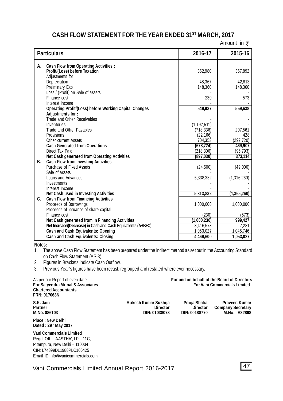# **CASH FLOW STATEMENT FOR THE YEAR ENDED 31ST MARCH, 2017**

Amount in  $\bar{z}$ 

| <b>Particulars</b>                                                                                        | 2016-17                     | 2015-16              |
|-----------------------------------------------------------------------------------------------------------|-----------------------------|----------------------|
| <b>Cash Flow from Operating Activities:</b><br>А.                                                         |                             |                      |
| Profit/(Loss) before Taxation                                                                             | 352.980                     | 367.892              |
| Adjustments for:<br>Depreciation                                                                          | 48,367                      | 42,813               |
| Prelminary Exp                                                                                            | 148,360                     | 148,360              |
| Loss / (Profit) on Sale of assets                                                                         |                             |                      |
| Finance cost                                                                                              | 230                         | 573                  |
| Interest Income<br><b>Operating Profit/(Loss) before Working Capital Changes</b>                          | 549,937                     | 559,638              |
| Adjustments for:                                                                                          |                             |                      |
| Trade and Other Receivables                                                                               |                             |                      |
| Inventories<br>Trade and Other Payables                                                                   | (1, 192, 511)<br>(718, 336) | 207,561              |
| Provisions                                                                                                | (22,166)                    | 428                  |
| Other current Assets                                                                                      | 704,353                     | (297, 720)           |
| <b>Cash Generated from Operations</b>                                                                     | (678, 724)                  | 469,907              |
| Direct Tax Paid<br>Net Cash generated from Operating Activities                                           | (218, 306)<br>(897, 030)    | (96, 793)<br>373,114 |
| В.<br><b>Cash Flow from Investing Activities</b>                                                          |                             |                      |
| Purchase of Fixed Assets                                                                                  | (24, 500)                   | (49,000)             |
| Sale of assets<br>Loans and Advances                                                                      |                             |                      |
| Investments                                                                                               | 5,338,332                   | (1,316,260)          |
| Interest Income                                                                                           |                             |                      |
| Net Cash used in Investing Activities                                                                     | 5,313,832                   | (1,365,260)          |
| C.<br><b>Cash Flow from Financing Activities</b><br>Proceeds of Borrowings                                | 1,000,000                   | 1,000,000            |
| Proceeds of Issuance of share capital                                                                     |                             |                      |
| Finance cost                                                                                              | (230)                       | (573)                |
| Net Cash generated from in Financing Activities                                                           | (1,000,230)                 | 999.427              |
| Net Increase/(Decrease) in Cash and Cash Equivalents (A+B+C)<br><b>Cash and Cash Equivalents: Opening</b> | 3,416,573<br>1,053,027      | 7,281<br>1,045,746   |
| Cash and Cash Equivalents: Closing                                                                        | 4,469,600                   | 1,053,027            |

**Notes:**

1. The above Cash Flow Statement has been prepared under the indirect method as set out in the Accounting Standard on Cash Flow Statement (AS-3).

2. Figures in Brackets indicate Cash Outflow.

3. Previous Year's figures have been recast, regrouped and restated where ever necessary.

| As per our Report of even date<br>For Satyendra Mrinal & Associates<br><b>Chartered Accountants</b><br><b>FRN: 017068N</b> |                                                          | For and on behalf of the Board of Directors<br><b>For Vani Commercials Limited</b> |                                                            |
|----------------------------------------------------------------------------------------------------------------------------|----------------------------------------------------------|------------------------------------------------------------------------------------|------------------------------------------------------------|
| S.K. Jain<br>Partner<br>M. No. 086103                                                                                      | Mukesh Kumar Sukhija<br><b>Director</b><br>DIN: 01038078 | Pooja Bhatia<br><b>Director</b><br>DIN: 00188770                                   | Praveen Kumar<br><b>Company Secretary</b><br>M.No.: A32898 |
| Place: New Delhi<br>Dated: 29th May 2017                                                                                   |                                                          |                                                                                    |                                                            |

**Vani Commercials Limited** Regd. Off.: 'AASTHA', LP – 11C, Pitampura, New Delhi – 110034 CIN: L74899DL1988PLC106425 Email ID:info@vanicommercials.com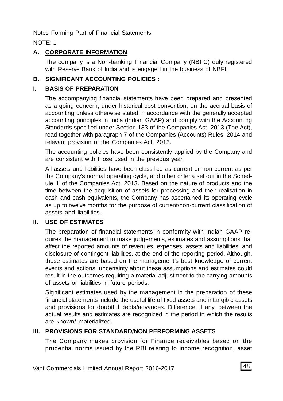Notes Forming Part of Financial Statements

NOTE: 1

# **A. CORPORATE INFORMATION**

The company is a Non-banking Financial Company (NBFC) duly registered with Reserve Bank of India and is engaged in the business of NBFI.

# **B. SIGNIFICANT ACCOUNTING POLICIES :**

# **I. BASIS OF PREPARATION**

The accompanying financial statements have been prepared and presented as a going concern, under historical cost convention, on the accrual basis of accounting unless otherwise stated in accordance with the generally accepted accounting principles in India (Indian GAAP) and comply with the Accounting Standards specified under Section 133 of the Companies Act, 2013 (The Act), read together with paragraph 7 of the Companies (Accounts) Rules, 2014 and relevant provision of the Companies Act, 2013.

The accounting policies have been consistently applied by the Company and are consistent with those used in the previous year.

All assets and liabilities have been classified as current or non-current as per the Company's normal operating cycle, and other criteria set out in the Schedule III of the Companies Act, 2013. Based on the nature of products and the time between the acquisition of assets for processing and their realisation in cash and cash equivalents, the Company has ascertained its operating cycle as up to twelve months for the purpose of current/non-current classification of assets and liabilities.

# **II. USE OF ESTIMATES**

The preparation of financial statements in conformity with Indian GAAP requires the management to make judgements, estimates and assumptions that affect the reported amounts of revenues, expenses, assets and liabilities, and disclosure of contingent liabilities, at the end of the reporting period. Although, these estimates are based on the management's best knowledge of current events and actions, uncertainty about these assumptions and estimates could result in the outcomes requiring a material adjustment to the carrying amounts of assets or liabilities in future periods.

Significant estimates used by the management in the preparation of these financial statements include the useful life of fixed assets and intangible assets and provisions for doubtful debts/advances. Difference, if any, between the actual results and estimates are recognized in the period in which the results are known/ materialized.

# **III. PROVISIONS FOR STANDARD/NON PERFORMING ASSETS**

The Company makes provision for Finance receivables based on the prudential norms issued by the RBI relating to income recognition, asset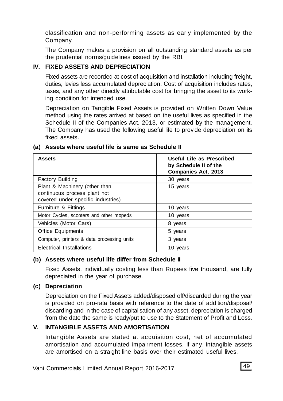classification and non-performing assets as early implemented by the Company.

The Company makes a provision on all outstanding standard assets as per the prudential norms/guidelines issued by the RBI.

# **IV. FIXED ASSETS AND DEPRECIATION**

Fixed assets are recorded at cost of acquisition and installation including freight, duties, levies less accumulated depreciation. Cost of acquisition includes rates, taxes, and any other directly attributable cost for bringing the asset to its working condition for intended use.

Depreciation on Tangible Fixed Assets is provided on Written Down Value method using the rates arrived at based on the useful lives as specified in the Schedule II of the Companies Act, 2013, or estimated by the management. The Company has used the following useful life to provide depreciation on its fixed assets.

| <b>Assets</b>                                                                                       | Useful Life as Prescribed<br>by Schedule II of the<br><b>Companies Act, 2013</b> |
|-----------------------------------------------------------------------------------------------------|----------------------------------------------------------------------------------|
| <b>Factory Building</b>                                                                             | 30 years                                                                         |
| Plant & Machinery (other than<br>continuous process plant not<br>covered under specific industries) | 15 years                                                                         |
| Furniture & Fittings                                                                                | 10 years                                                                         |
| Motor Cycles, scooters and other mopeds                                                             | 10 years                                                                         |
| Vehicles (Motor Cars)                                                                               | 8 years                                                                          |
| <b>Office Equipments</b>                                                                            | 5 years                                                                          |
| Computer, printers & data processing units                                                          | 3 years                                                                          |
| Electrical Installations                                                                            | 10 years                                                                         |

#### **(a) Assets where useful life is same as Schedule II**

#### **(b) Assets where useful life differ from Schedule II**

Fixed Assets, individually costing less than Rupees five thousand, are fully depreciated in the year of purchase.

### **(c) Depreciation**

Depreciation on the Fixed Assets added/disposed off/discarded during the year is provided on pro-rata basis with reference to the date of addition/disposal/ discarding and in the case of capitalisation of any asset, depreciation is charged from the date the same is ready/put to use to the Statement of Profit and Loss.

### **V. INTANGIBLE ASSETS AND AMORTISATION**

Intangible Assets are stated at acquisition cost, net of accumulated amortisation and accumulated impairment losses, if any. Intangible assets are amortised on a straight-line basis over their estimated useful lives.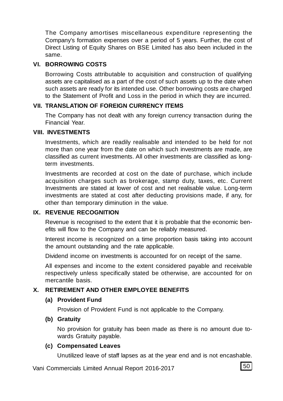The Company amortises miscellaneous expenditure representing the Company's formation expenses over a period of 5 years. Further, the cost of Direct Listing of Equity Shares on BSE Limited has also been included in the same.

#### **VI. BORROWING COSTS**

Borrowing Costs attributable to acquisition and construction of qualifying assets are capitalised as a part of the cost of such assets up to the date when such assets are ready for its intended use. Other borrowing costs are charged to the Statement of Profit and Loss in the period in which they are incurred.

#### **VII. TRANSLATION OF FOREIGN CURRENCY ITEMS**

The Company has not dealt with any foreign currency transaction during the Financial Year.

#### **VIII. INVESTMENTS**

Investments, which are readily realisable and intended to be held for not more than one year from the date on which such investments are made, are classified as current investments. All other investments are classified as longterm investments.

Investments are recorded at cost on the date of purchase, which include acquisition charges such as brokerage, stamp duty, taxes, etc. Current Investments are stated at lower of cost and net realisable value. Long-term investments are stated at cost after deducting provisions made, if any, for other than temporary diminution in the value.

# **IX. REVENUE RECOGNITION**

Revenue is recognised to the extent that it is probable that the economic benefits will flow to the Company and can be reliably measured.

Interest income is recognized on a time proportion basis taking into account the amount outstanding and the rate applicable.

Dividend income on investments is accounted for on receipt of the same.

All expenses and income to the extent considered payable and receivable respectively unless specifically stated be otherwise, are accounted for on mercantile basis.

### **X. RETIREMENT AND OTHER EMPLOYEE BENEFITS**

#### **(a) Provident Fund**

Provision of Provident Fund is not applicable to the Company.

#### **(b) Gratuity**

No provision for gratuity has been made as there is no amount due towards Gratuity payable.

#### **(c) Compensated Leaves**

Unutilized leave of staff lapses as at the year end and is not encashable.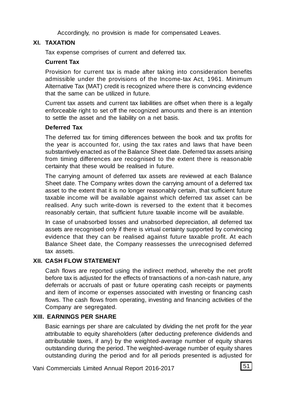Accordingly, no provision is made for compensated Leaves.

# **XI. TAXATION**

Tax expense comprises of current and deferred tax.

# **Current Tax**

Provision for current tax is made after taking into consideration benefits admissible under the provisions of the Income-tax Act, 1961. Minimum Alternative Tax (MAT) credit is recognized where there is convincing evidence that the same can be utilized in future.

Current tax assets and current tax liabilities are offset when there is a legally enforceable right to set off the recognized amounts and there is an intention to settle the asset and the liability on a net basis.

# **Deferred Tax**

The deferred tax for timing differences between the book and tax profits for the year is accounted for, using the tax rates and laws that have been substantively enacted as of the Balance Sheet date. Deferred tax assets arising from timing differences are recognised to the extent there is reasonable certainty that these would be realised in future.

The carrying amount of deferred tax assets are reviewed at each Balance Sheet date. The Company writes down the carrying amount of a deferred tax asset to the extent that it is no longer reasonably certain, that sufficient future taxable income will be available against which deferred tax asset can be realised. Any such write-down is reversed to the extent that it becomes reasonably certain, that sufficient future taxable income will be available.

In case of unabsorbed losses and unabsorbed depreciation, all deferred tax assets are recognised only if there is virtual certainty supported by convincing evidence that they can be realised against future taxable profit. At each Balance Sheet date, the Company reassesses the unrecognised deferred tax assets.

# **XII. CASH FLOW STATEMENT**

Cash flows are reported using the indirect method, whereby the net profit before tax is adjusted for the effects of transactions of a non-cash nature, any deferrals or accruals of past or future operating cash receipts or payments and item of income or expenses associated with investing or financing cash flows. The cash flows from operating, investing and financing activities of the Company are segregated.

# **XIII. EARNINGS PER SHARE**

Basic earnings per share are calculated by dividing the net profit for the year attributable to equity shareholders (after deducting preference dividends and attributable taxes, if any) by the weighted-average number of equity shares outstanding during the period. The weighted-average number of equity shares outstanding during the period and for all periods presented is adjusted for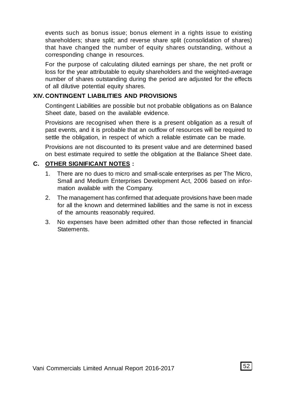events such as bonus issue; bonus element in a rights issue to existing shareholders; share split; and reverse share split (consolidation of shares) that have changed the number of equity shares outstanding, without a corresponding change in resources.

For the purpose of calculating diluted earnings per share, the net profit or loss for the year attributable to equity shareholders and the weighted-average number of shares outstanding during the period are adjusted for the effects of all dilutive potential equity shares.

#### **XIV. CONTINGENT LIABILITIES AND PROVISIONS**

Contingent Liabilities are possible but not probable obligations as on Balance Sheet date, based on the available evidence.

Provisions are recognised when there is a present obligation as a result of past events, and it is probable that an outflow of resources will be required to settle the obligation, in respect of which a reliable estimate can be made.

Provisions are not discounted to its present value and are determined based on best estimate required to settle the obligation at the Balance Sheet date.

# **C. OTHER SIGNIFICANT NOTES :**

- 1. There are no dues to micro and small-scale enterprises as per The Micro, Small and Medium Enterprises Development Act, 2006 based on information available with the Company.
- 2. The management has confirmed that adequate provisions have been made for all the known and determined liabilities and the same is not in excess of the amounts reasonably required.
- 3. No expenses have been admitted other than those reflected in financial **Statements**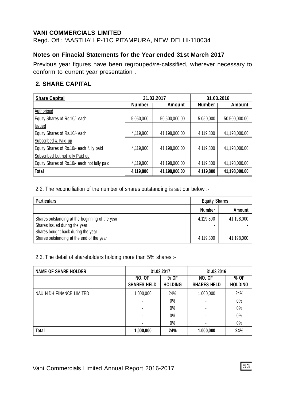#### **VANI COMMERCIALS LIMITED**

Regd. Off : 'AASTHA' LP-11C PITAMPURA, NEW DELHI-110034

# **Notes on Finacial Statements for the Year ended 31st March 2017**

Previous year figures have been regrouped/re-calssified, wherever necessary to conform to current year presentation .

# **2. SHARE CAPITAL**

| <b>Share Capital</b>                         | 31.03.2017    |               |               | 31.03.2016    |
|----------------------------------------------|---------------|---------------|---------------|---------------|
|                                              | <b>Number</b> | Amount        | <b>Number</b> | Amount        |
| Authorised                                   |               |               |               |               |
| Equity Shares of Rs.10/- each                | 5,050,000     | 50.500.000.00 | 5,050,000     | 50,500,000.00 |
| Issued                                       |               |               |               |               |
| Equity Shares of Rs.10/- each                | 4,119,800     | 41,198,000.00 | 4,119,800     | 41,198,000.00 |
| Subscribed & Paid up                         |               |               |               |               |
| Equity Shares of Rs.10/- each fully paid     | 4,119,800     | 41.198.000.00 | 4,119,800     | 41.198.000.00 |
| Subscribed but not fully Paid up             |               |               |               |               |
| Equity Shares of Rs.10/- each not fully paid | 4,119,800     | 41,198,000.00 | 4,119,800     | 41,198,000.00 |
| Total                                        | 4,119,800     | 41,198,000.00 | 4,119,800     | 41,198,000.00 |

2.2. The reconciliation of the number of shares outstanding is set our below :-

| <b>Particulars</b>                                                                                                     | <b>Equity Shares</b> |            |
|------------------------------------------------------------------------------------------------------------------------|----------------------|------------|
|                                                                                                                        | Number               | Amount     |
| Shares outstanding at the beginning of the year<br>Shares Issued during the year<br>Shares bought back during the year | 4.119.800            | 41.198.000 |
| Shares outstanding at the end of the year                                                                              | 4.119.800            | 41.198.000 |

2.3. The detail of shareholders holding more than 5% shares :-

| <b>NAME OF SHARE HOLDER</b> | 31.03.2017                   |                        | 31.03.2016                   |                        |
|-----------------------------|------------------------------|------------------------|------------------------------|------------------------|
|                             | NO. OF<br><b>SHARES HELD</b> | % OF<br><b>HOLDING</b> | NO. OF<br><b>SHARES HELD</b> | % OF<br><b>HOLDING</b> |
| NAU NIDH FINANCE LIMITED    | 1,000,000                    | 24%                    | 1,000,000                    | 24%                    |
|                             |                              | 0%                     |                              | 0%                     |
|                             |                              | 0%                     |                              | 0%                     |
|                             |                              | 0%                     |                              | 0%                     |
|                             | $\overline{\phantom{a}}$     | 0%                     | ۰                            | 0%                     |
| Total                       | 1,000,000                    | 24%                    | 1,000,000                    | 24%                    |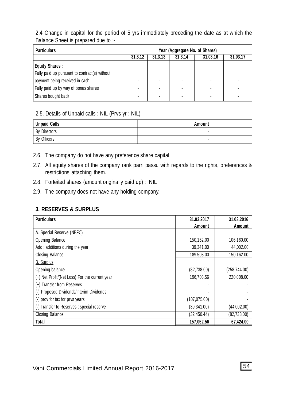2.4 Change in capital for the period of 5 yrs immediately preceding the date as at which the Balance Sheet is prepared due to :-

| <b>Particulars</b>                            | Year (Aggregate No. of Shares) |         |         |          |          |
|-----------------------------------------------|--------------------------------|---------|---------|----------|----------|
|                                               | 31.3.12                        | 31.3.13 | 31.3.14 | 31.03.16 | 31.03.17 |
| Equity Shares:                                |                                |         |         |          |          |
| Fully paid up pursuant to contract(s) without |                                |         |         |          |          |
| payment being received in cash                |                                |         |         |          |          |
| Fully paid up by way of bonus shares          |                                |         |         |          |          |
| Shares bought back                            |                                |         |         |          |          |

#### 2.5. Details of Unpaid calls : NIL (Prvs yr : NIL)

| Unpaid Calls             | Amount |
|--------------------------|--------|
| By Directors             |        |
| <sup>I</sup> By Officers |        |

- 2.6. The company do not have any preference share capital
- 2.7. All equity shares of the company rank parri passu with regards to the rights, preferences & restrictions attaching them.
- 2.8. Forfeited shares (amount originally paid up) : NIL
- 2.9. The company does not have any holding company.

#### **3. RESERVES & SURPLUS**

| <b>Particulars</b>                             | 31.03.2017<br>Amount | 31.03.2016<br>Amount |
|------------------------------------------------|----------------------|----------------------|
| A. Special Reserve (NBFC)                      |                      |                      |
| <b>Opening Balance</b>                         | 150,162.00           | 106,160.00           |
| Add: additions during the year                 | 39.341.00            | 44.002.00            |
| Closing Balance                                | 189.503.00           | 150.162.00           |
| <b>B.</b> Surplus                              |                      |                      |
| Opening balance                                | (82, 738.00)         | (258, 744.00)        |
| (+) Net Profit/(Net Loss) For the current year | 196.703.56           | 220.008.00           |
| (+) Transfer from Reserves                     |                      |                      |
| (-) Proposed Dividends/Interim Dividends       |                      |                      |
| (-) prov for tax for prvs years                | (107, 075.00)        |                      |
| (-) Transfer to Reserves : special reserve     | (39, 341.00)         | (44,002.00)          |
| Closing Balance                                | (32, 450.44)         | (82, 738.00)         |
| <b>Total</b>                                   | 157.052.56           | 67.424.00            |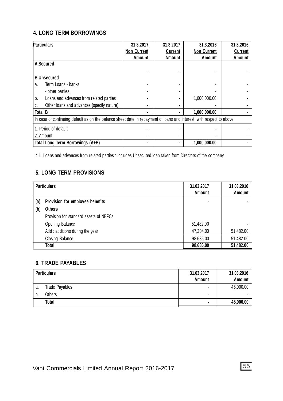#### **4. LONG TERM BORROWINGS**

| <b>Particulars</b>                                                                                                  | 31.3.2017<br><b>Non Current</b> | 31.3.2017<br>Current | 31.3.2016<br><b>Non Current</b> | 31.3.2016<br>Current |
|---------------------------------------------------------------------------------------------------------------------|---------------------------------|----------------------|---------------------------------|----------------------|
|                                                                                                                     | Amount                          | Amount               | Amount                          | Amount               |
| A.Secured                                                                                                           |                                 |                      |                                 |                      |
|                                                                                                                     |                                 |                      |                                 |                      |
| <b>B.Unsecured</b>                                                                                                  |                                 |                      |                                 |                      |
| Term Loans - banks<br>a.                                                                                            |                                 |                      |                                 |                      |
| - other parties                                                                                                     |                                 |                      |                                 |                      |
| b.<br>Loans and advances from related parties                                                                       |                                 |                      | 1.000.000.00                    |                      |
| Other loans and advances (specify nature)<br>C.                                                                     |                                 |                      |                                 |                      |
| <b>Total B</b>                                                                                                      |                                 |                      | 1.000.000.00                    |                      |
| In case of continuing default as on the balance sheet date in repayment of loans and interest with respect to above |                                 |                      |                                 |                      |
| 1. Period of default                                                                                                |                                 |                      |                                 |                      |
| l 2. Amount                                                                                                         |                                 |                      |                                 |                      |
| Total Long Term Borrowings (A+B)                                                                                    |                                 |                      | 1.000.000.00                    |                      |

4.1. Loans and advances from related parties : Includes Unsecured loan taken from Directors of the company

# **5. LONG TERM PROVISIONS**

|     | <b>Particulars</b>                     | 31.03.2017<br>Amount | 31.03.2016<br>Amount |
|-----|----------------------------------------|----------------------|----------------------|
| (a) | Provision for employee benefits        |                      |                      |
| (b) | <b>Others</b>                          |                      |                      |
|     | Provision for standard assets of NBFCs |                      |                      |
|     | <b>Opening Balance</b>                 | 51,482.00            |                      |
|     | Add: additions during the year         | 47.204.00            | 51,482.00            |
|     | Closing Balance                        | 98.686.00            | 51,482.00            |
|     | Total                                  | 98,686.00            | 51,482.00            |

#### **6. TRADE PAYABLES**

|    | <b>Particulars</b> | 31.03.2017<br>Amount | 31.03.2016<br>Amount |
|----|--------------------|----------------------|----------------------|
| a. | Trade Payables     | ۰                    | 45.000.00            |
| b. | <b>Others</b>      | ۰                    |                      |
|    | Total              | $\blacksquare$       | 45,000.00            |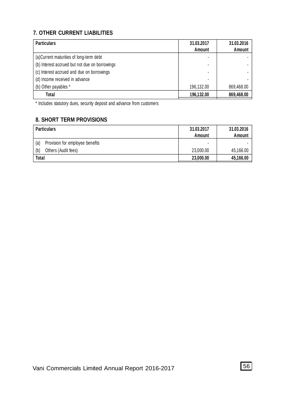# **7. OTHER CURRENT LIABILITIES**

| <b>Particulars</b>                             | 31.03.2017 | 31.03.2016    |
|------------------------------------------------|------------|---------------|
|                                                | Amount     | <b>Amount</b> |
| (a) Current maturities of long-term debt       | ۰          |               |
| (b) Interest accrued but not due on borrowings |            |               |
| (c) Interest accrued and due on borrowings     |            |               |
| (d) Income received in advance                 |            |               |
| (b) Other payables *                           | 196.132.00 | 869.468.00    |
| Total                                          | 196.132.00 | 869,468.00    |

\* Includes statutory dues, security deposit and advance from customers

# **8. SHORT TERM PROVISIONS**

| <b>Particulars</b>                     | 31.03.2017<br>Amount | 31.03.2016<br>Amount |
|----------------------------------------|----------------------|----------------------|
| (a)<br>Provision for employee benefits | ۰                    |                      |
| Others (Audit fees)<br>(b)             | 23,000.00            | 45.166.00            |
| Total                                  | 23,000.00            | 45,166.00            |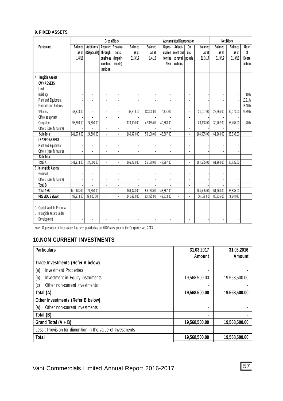#### **9. FIXED ASSETS**

|                                                                        | <b>Gross Block</b> |                                  |                       |                | <b>Accumulated Depreciation</b> |           |           |                   | <b>Net Block</b> |            |           |           |         |
|------------------------------------------------------------------------|--------------------|----------------------------------|-----------------------|----------------|---------------------------------|-----------|-----------|-------------------|------------------|------------|-----------|-----------|---------|
| <b>Particulars</b>                                                     | Balance            | Additions/   Acquired   Revalua- |                       |                | <b>Balance</b>                  | Balance   | Depre-    | Adjust-           | On               | balance    | Balance   | Balance   | Rate    |
|                                                                        | as at              | (Disposals)                      | through               | tions/         | as at                           | as at     |           | ciation ment duel | dis-             | as at      | as at     | as at     | of      |
|                                                                        | 1/4/16             |                                  | business <sup> </sup> | (impair-       | 31/3/17                         | 1/4/16    | for the   | to reval- posals  |                  | 31/3/17    | 31/3/17   | 31/3/16   | Depre   |
|                                                                        |                    |                                  | combin-               | ments)         |                                 |           | Year      | uations           |                  |            |           |           | ciation |
|                                                                        |                    |                                  | nations               |                |                                 |           |           |                   |                  |            |           |           |         |
| A Tangible Assets<br><b>OWNASSETS:</b>                                 |                    |                                  |                       |                |                                 |           |           |                   |                  |            |           |           |         |
| Land                                                                   |                    |                                  |                       |                |                                 |           |           |                   |                  |            |           |           |         |
| Buildings                                                              |                    |                                  |                       |                |                                 |           |           |                   |                  |            |           |           | 10%     |
| Plant and Equipment                                                    |                    |                                  |                       |                |                                 |           |           |                   |                  |            |           |           | 13.91%  |
| Furniture and Fixtures                                                 |                    |                                  |                       |                |                                 |           |           |                   | Ĭ.               |            |           |           | 18.10%  |
| Vehicles                                                               | 43.373.00          |                                  |                       |                | 43,373.00                       | 13,303.00 | 7,804.00  |                   | l,               | 21,107.00  | 22,266.00 | 30,070.00 | 25.89%  |
| Office equipment                                                       |                    |                                  |                       |                |                                 |           |           |                   |                  |            |           |           |         |
| Computers                                                              | 98.600.00          | 24.500.00                        |                       | ٠              | 123.100.00                      | 42.835.00 | 40.563.00 |                   | ł,               | 83.398.00  | 39.702.00 | 55.765.00 | 40%     |
| Others (specify nature)                                                |                    |                                  |                       |                |                                 |           |           |                   |                  |            |           |           |         |
| Sub-Total                                                              | 141,973.00         | 24,500.00                        |                       |                | 166,473.00                      | 56.138.00 | 48.367.00 |                   |                  | 104.505.00 | 61,968.00 | 85,835.00 |         |
| <b>LEASEDASSETS:</b>                                                   |                    |                                  |                       |                |                                 |           |           |                   |                  |            |           |           |         |
| Plant and Equipment                                                    |                    |                                  |                       |                |                                 |           |           |                   |                  |            |           |           |         |
| Others (specify nature)                                                |                    |                                  |                       |                |                                 |           |           |                   |                  |            |           |           |         |
| Sub-Total                                                              |                    |                                  |                       |                |                                 |           |           |                   |                  |            |           |           |         |
| <b>Total A</b>                                                         | 141,973.00         | 24.500.00                        |                       |                | 166.473.00                      | 56.138.00 | 48.367.00 |                   |                  | 104.505.00 | 61,968.00 | 85.835.00 |         |
| <b>B</b> Intangible Assets                                             |                    |                                  |                       |                |                                 |           |           |                   |                  |            |           |           |         |
| Goodwill                                                               |                    |                                  |                       |                |                                 |           |           |                   |                  |            |           |           |         |
| Others (specify nature)                                                |                    |                                  |                       |                |                                 |           |           |                   |                  |            |           |           |         |
| <b>Total B</b>                                                         |                    |                                  | ÷                     | $\overline{a}$ |                                 |           |           |                   |                  |            |           |           |         |
| Total A+B                                                              | 141.973.00         | 24.500.00                        |                       |                | 166.473.00                      | 56.138.00 | 48.367.00 |                   |                  | 104.505.00 | 61.968.00 | 85.835.00 |         |
| <b>PREVIOUS YEAR</b>                                                   | 92,973.00          | 49.000.00                        |                       |                | 141.973.00                      | 13.325.00 | 42.813.00 |                   |                  | 56.138.00  | 85.835.00 | 79,648.00 |         |
| C Capital Work In Progress<br>D Intangible assets under<br>Development |                    |                                  |                       |                |                                 |           |           |                   |                  |            |           |           |         |
|                                                                        |                    |                                  |                       |                |                                 |           |           |                   |                  |            |           |           |         |

Note : Depreciation on fixed assets has been provided as per WDV rates given in the Companies Act, 2 013.

# **10.NON CURRENT INVESTMENTS**

| <b>Particulars</b>                                         | 31.03.2017    | 31.03.2016    |
|------------------------------------------------------------|---------------|---------------|
|                                                            | Amount        | Amount        |
| Trade Investments (Refer A below)                          |               |               |
| (a)<br><b>Investment Properties</b>                        |               |               |
| (b)<br>Investment in Equity instruments                    | 19.568.500.00 | 19.568.500.00 |
| Other non-current investments<br>(C)                       |               |               |
| Total (A)                                                  | 19,568,500.00 | 19.568.500.00 |
| Other Investments (Refer B below)                          |               |               |
| Other non-current investments<br>(a)                       |               |               |
| Total (B)                                                  |               |               |
| Grand Total $(A + B)$                                      | 19,568,500.00 | 19.568.500.00 |
| Less: Provision for dimunition in the value of Investments |               |               |
| <b>Total</b>                                               | 19,568,500.00 | 19.568.500.00 |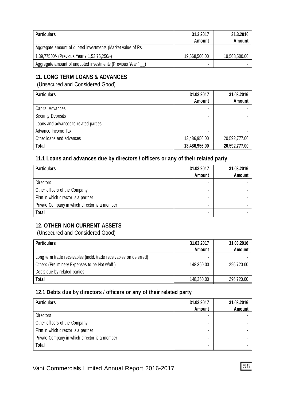| <b>Particulars</b>                                          | 31.3.2017<br>Amount | 31.3.2016<br>Amount |
|-------------------------------------------------------------|---------------------|---------------------|
| Aggregate amount of quoted investments (Market value of Rs. |                     |                     |
| 1,39,77500/- (Previous Year ₹1,53,75,250/-)                 | 19.568.500.00       | 19.568.500.00       |
| Aggregate amount of unquoted investments (Previous Year ')  | -                   |                     |

# **11. LONG TERM LOANS & ADVANCES**

(Unsecured and Considered Good)

| <b>Particulars</b>                    | 31.03.2017<br>Amount | 31.03.2016<br>Amount |
|---------------------------------------|----------------------|----------------------|
| Capital Advances                      |                      |                      |
| <b>Security Deposits</b>              | ۰                    |                      |
| Loans and advances to related parties | ۰                    |                      |
| Advance Income Tax                    |                      |                      |
| Other loans and advances              | 13,486,956.00        | 20,592,777.00        |
| <b>Total</b>                          | 13,486,956.00        | 20,592,777.00        |

# **11.1 Loans and advances due by directors / officers or any of their related party**

| <b>Particulars</b>                            | 31.03.2017<br>Amount | 31.03.2016<br>Amount |
|-----------------------------------------------|----------------------|----------------------|
| <b>Directors</b>                              | ٠                    |                      |
| Other officers of the Company                 | -                    |                      |
| Firm in which director is a partner           |                      |                      |
| Private Company in which director is a member | -                    |                      |
| <b>Total</b>                                  |                      |                      |

# **12. OTHER NON CURRENT ASSETS**

(Unsecured and Considered Good)

| <b>Particulars</b>                                                 | 31.03.2017 | 31.03.2016 |
|--------------------------------------------------------------------|------------|------------|
|                                                                    | Amount     | Amount     |
| Long term trade receivables (incld. trade receivables on deferred) |            |            |
| Others (Preliminery Expenses to be Not w/off)                      | 148,360.00 | 296.720.00 |
| Debts due by related parties                                       | -          |            |
| Total                                                              | 148,360.00 | 296.720.00 |

# **12.1 Debts due by directors / officers or any of their related party**

| <b>Particulars</b>                            | 31.03.2017<br>Amount | 31.03.2016<br>Amount |
|-----------------------------------------------|----------------------|----------------------|
| <b>Directors</b>                              |                      |                      |
| Other officers of the Company                 |                      |                      |
| Firm in which director is a partner           |                      |                      |
| Private Company in which director is a member |                      |                      |
| <b>Total</b>                                  |                      |                      |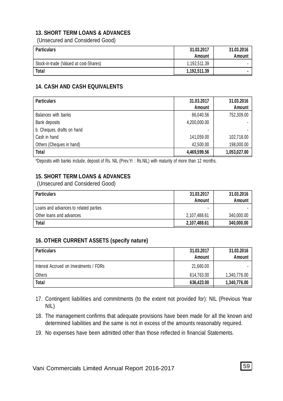#### **13. SHORT TERM LOANS & ADVANCES**

(Unsecured and Considered Good)

| Particulars                            | 31.03.2017<br>Amount | 31.03.2016<br>Amount |
|----------------------------------------|----------------------|----------------------|
| Stock-in-trade (Valued at cost-Shares) | 1.192.511.39         |                      |
| <b>Total</b>                           | 1.192.511.39         |                      |

#### **14. CASH AND CASH EQUIVALENTS**

| <b>Particulars</b>         | 31.03.2017<br>Amount | 31.03.2016<br>Amount |
|----------------------------|----------------------|----------------------|
| Balances with banks        | 86.040.56            | 752,309.00           |
| Bank deposits              | 4,200,000.00         |                      |
| b. Cheques, drafts on hand |                      |                      |
| Cash in hand               | 141,059.00           | 102.718.00           |
| Others (Cheques in hand)   | 42.500.00            | 198,000.00           |
| <b>Total</b>               | 4,469,599.56         | 1,053,027.00         |

\*Deposits with banks include, deposit of Rs. NIL (Prev.Yr : Rs.NIL) with maturity of more than 12 months.

#### **15. SHORT TERM LOANS & ADVANCES**

(Unsecured and Considered Good)

| <b>Particulars</b>                    | 31.03.2017<br>Amount | 31.03.2016<br>Amount |
|---------------------------------------|----------------------|----------------------|
| Loans and advances to related parties | ۰                    |                      |
| Other loans and advances              | 2.107.488.61         | 340,000.00           |
| <b>Total</b>                          | 2.107.488.61         | 340,000.00           |

#### **16. OTHER CURRENT ASSETS (specify nature)**

| <b>Particulars</b>                     | 31.03.2017<br>Amount | 31.03.2016<br><b>Amount</b> |
|----------------------------------------|----------------------|-----------------------------|
| Interest Accrued on Investments / FDRs | 21.660.00            |                             |
| Others                                 | 614.763.00           | 1,340,776.00                |
| <b>Total</b>                           | 636.423.00           | 1,340,776.00                |

- 17. Contingent liabilities and commitments (to the extent not provided for): NIL (Previous Year NIL)
- 18. The management confirms that adequate provisions have been made for all the known and determined liabilities and the same is not in excess of the amounts reasonably required.
- 19. No expenses have been admitted other than those reflected in financial Statements.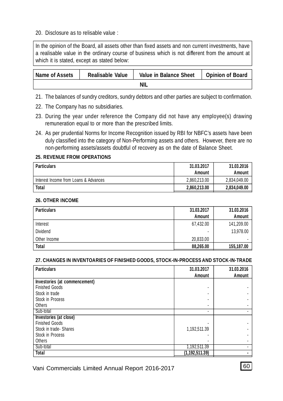#### 20. Disclosure as to relisable value :

In the opinion of the Board, all assets other than fixed assets and non current investments, have a realisable value in the ordinary course of business which is not different from the amount at which it is stated, except as stated below:

| Name of Assets | Realisable Value | Value in Balance Sheet | <b>Opinion of Board</b> |
|----------------|------------------|------------------------|-------------------------|
|                |                  | <b>NIL</b>             |                         |

- 21. The balances of sundry creditors, sundry debtors and other parties are subject to confirmation.
- 22. The Company has no subsidiaries.
- 23. During the year under reference the Company did not have any employee(s) drawing remuneration equal to or more than the prescribed limits.
- 24. As per prudential Norms for Income Recognition issued by RBI for NBFC's assets have been duly classified into the category of Non-Performing assets and others. However, there are no non-performing assets/assets doubtful of recovery as on the date of Balance Sheet.

#### **25. REVENUE FROM OPERATIONS**

| <b>Particulars</b>                    | 31.03.2017<br>Amount | 31.03.2016<br>Amount |
|---------------------------------------|----------------------|----------------------|
| Interest Income from Loans & Advances | 2.860.213.00         | 2.834.049.00         |
| <b>Total</b>                          | 2,860,213.00         | 2,834,049.00         |

#### **26. OTHER INCOME**

| <b>Particulars</b> | 31.03.2017 | 31.03.2016 |
|--------------------|------------|------------|
|                    | Amount     | Amount     |
| Interest           | 67.432.00  | 141.209.00 |
| Dividend           | -          | 13,978.00  |
| Other Income       | 20.833.00  |            |
| <b>Total</b>       | 88.265.00  | 155,187.00 |

#### **27. CHANGES IN INVENTOARIES OF FINISHED GOODS, STOCK-IN-PROCESS AND STOCK-IN-TRADE**

| <b>Particulars</b>            | 31.03.2017       | 31.03.2016 |
|-------------------------------|------------------|------------|
|                               | Amount           | Amount     |
| Investories (at commencement) |                  |            |
| <b>Finished Goods</b>         | ۰                |            |
| Stock in trade                | ۰                |            |
| Stock in Process              | ۰                |            |
| Others                        | ۰                |            |
| Sub-total                     | ۰                |            |
| Investories (at close)        |                  |            |
| <b>Finished Goods</b>         |                  |            |
| Stock in trade-Shares         | 1,192,511.39     |            |
| Stock in Process              |                  |            |
| Others                        | ۰                |            |
| Sub-total                     | 1,192,511.39     |            |
| <b>Total</b>                  | (1, 192, 511.39) |            |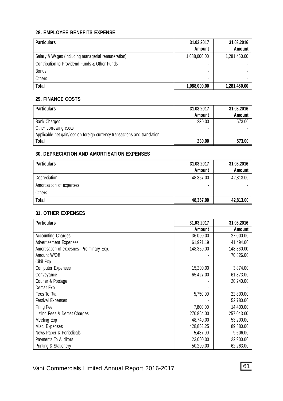#### **28. EMPLOYEE BENEFITS EXPENSE**

| <b>Particulars</b>                                 | 31.03.2017<br>Amount | 31.03.2016<br>Amount |
|----------------------------------------------------|----------------------|----------------------|
| Salary & Wages (including managerial remuneration) | 1,088,000.00         | 1,281,450.00         |
| Contribution to Providend Funds & Other Funds      |                      |                      |
| <b>Bonus</b>                                       |                      |                      |
| Others                                             | ۰                    |                      |
| <b>Total</b>                                       | 1,088,000.00         | 1,281,450.00         |

#### **29. FINANCE COSTS**

| <b>Particulars</b>                                                        | 31.03.2017 | 31.03.2016 |
|---------------------------------------------------------------------------|------------|------------|
|                                                                           | Amount     | Amount     |
| <b>Bank Charges</b>                                                       | 230.00     | 573.00     |
| Other borrowing costs                                                     |            |            |
| Applicable net gain/loss on foreign currency transactions and translation |            |            |
| Total                                                                     | 230.00     | 573.00     |

#### **30. DEPRECIATION AND AMORTISATION EXPENSES**

| <b>Particulars</b>       | 31.03.2017 | 31.03.2016 |
|--------------------------|------------|------------|
|                          | Amount     | Amount     |
| Depreciation             | 48,367.00  | 42,813.00  |
| Amortisation of expenses | -          |            |
| Others                   | ٠          |            |
| <b>Total</b>             | 48,367.00  | 42,813.00  |

#### **31. OTHER EXPENSES**

| <b>Particulars</b>                        | 31.03.2017 | 31.03.2016 |
|-------------------------------------------|------------|------------|
|                                           | Amount     | Amount     |
| <b>Accounting Charges</b>                 | 36,000.00  | 27,000.00  |
| <b>Advertisement Expenses</b>             | 61,921.19  | 41.494.00  |
| Amortisation of expesnes- Prelminary Exp. | 148.360.00 | 148.360.00 |
| Amount W/Off                              |            | 70,826.00  |
| Cibil Exp                                 |            |            |
| <b>Computer Expenses</b>                  | 15,200.00  | 3,874.00   |
| Conveyance                                | 65,427.00  | 61,873.00  |
| Courier & Postage                         |            | 20,240.00  |
| Demat Exp                                 |            |            |
| Fees To Rta                               | 5,750.00   | 22,800.00  |
| <b>Festival Expenses</b>                  |            | 52,780.00  |
| Filing Fee                                | 7.800.00   | 14,400.00  |
| Listing Fees & Demat Charges              | 270.864.00 | 257,043.00 |
| Meeting Exp                               | 48.740.00  | 53,200.00  |
| Misc. Expenses                            | 428,863.25 | 89,880.00  |
| News Paper & Periodicals                  | 5.437.00   | 9,606.00   |
| Payments To Auditors                      | 23,000.00  | 22,900.00  |
| Printing & Stationery                     | 50,200.00  | 62.263.00  |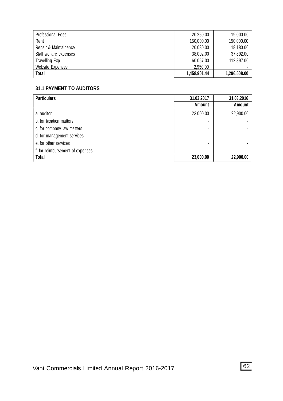| Professional Fees      | 20.250.00    | 19,000.00    |
|------------------------|--------------|--------------|
| Rent                   | 150,000.00   | 150,000.00   |
| Repair & Maintainence  | 20.080.00    | 18,180.00    |
| Staff welfare expenses | 38.002.00    | 37.892.00    |
| Travelling Exp         | 60.057.00    | 112,897.00   |
| Website Expenses       | 2.950.00     |              |
| Total                  | 1.458.901.44 | 1,296,508.00 |

#### **31.1 PAYMENT TO AUDITORS**

| <b>Particulars</b>               | 31.03.2017 | 31.03.2016 |
|----------------------------------|------------|------------|
|                                  | Amount     | Amount     |
| a. auditor                       | 23,000.00  | 22,900.00  |
| b. for taxation matters          |            |            |
| c. for company law matters       | ۰          |            |
| d. for management services       | ۰          |            |
| e, for other services            | ۰          |            |
| f. for reimbursement of expenses | ۰          |            |
| <b>Total</b>                     | 23,000.00  | 22,900.00  |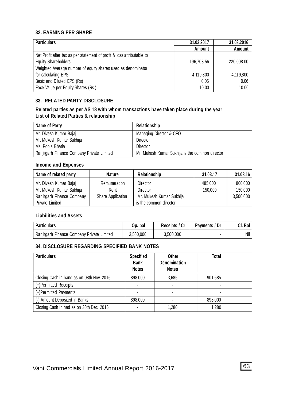#### **32. EARNING PER SHARE**

| <b>Particulars</b>                                                     | 31.03.2017 | 31.03.2016 |
|------------------------------------------------------------------------|------------|------------|
|                                                                        | Amount     | Amount     |
| Net Profit after tax as per statement of profit & loss attributable to |            |            |
| <b>Equity Shareholders</b>                                             | 196,703.56 | 220,008.00 |
| Weighted Average number of equity shares used as denominator           |            |            |
| for calculating EPS                                                    | 4,119,800  | 4,119,800  |
| Basic and Diluted EPS (Rs)                                             | 0.05       | 0.06       |
| Face Value per Equity Shares (Rs.)                                     | 10.00      | 10.00      |

#### **33. RELATED PARTY DISCLOSURE**

#### **Related parties as per AS 18 with whom transactions have taken place during the year List of Related Parties & relationship**

| Name of Party                              | Relationship                                    |
|--------------------------------------------|-------------------------------------------------|
| Mr. Divesh Kumar Bajaj                     | Managing Director & CFO                         |
| Mr. Mukesh Kumar Sukhija                   | Director                                        |
| Ms. Pooja Bhatia                           | Director                                        |
| Ranjitgarh Finance Company Private Limited | Mr. Mukesh Kumar Sukhija is the common director |

#### **Income and Expenses**

| Name of related party      | <b>Nature</b>     | Relationship             | 31.03.17 | 31.03.16  |
|----------------------------|-------------------|--------------------------|----------|-----------|
| Mr. Divesh Kumar Bajaj     | Remuneration      | Director                 | 485,000  | 800,000   |
| Mr. Mukesh Kumar Sukhija   | Rent              | Director                 | 150,000  | 150,000   |
| Ranjitgarh Finance Company | Share Application | Mr. Mukesh Kumar Sukhija |          | 3.500.000 |
| Private Limited            |                   | is the common director   |          |           |

#### **Liabilities and Assets**

| <b>Particulars</b>                         | bal<br>Op. | Receipts / Cr | Payments / Dr | Cl. Bal |
|--------------------------------------------|------------|---------------|---------------|---------|
| Ranjitgarh Finance Company Private Limited | 3.500.000  | 3.500.000     |               | Nil     |

#### **34. DISCLOSURE REGARDING SPECIFIED BANK NOTES**

| <b>Particulars</b>                        | <b>Specified</b><br>Bank<br><b>Notes</b> | Other<br><b>Denomination</b><br><b>Notes</b> | Total   |
|-------------------------------------------|------------------------------------------|----------------------------------------------|---------|
| Closing Cash in hand as on 08th Nov, 2016 | 898,000                                  | 3.685                                        | 901.685 |
| (+)Permitted Receipts                     |                                          |                                              |         |
| (+)Permitted Payments                     |                                          |                                              |         |
| (-) Amount Deposited in Banks             | 898,000                                  |                                              | 898,000 |
| Closing Cash in had as on 30th Dec, 2016  |                                          | 1.280                                        | 1.280   |